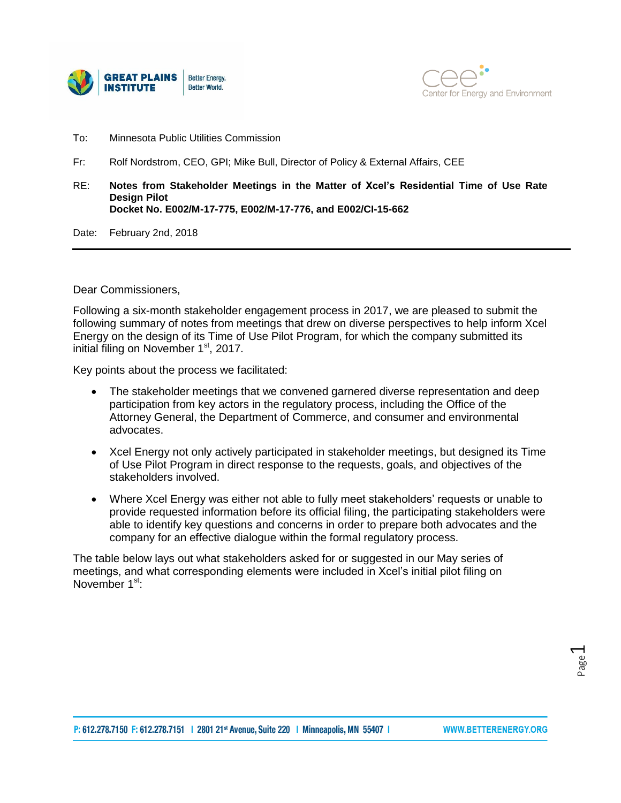



- To: Minnesota Public Utilities Commission
- Fr: Rolf Nordstrom, CEO, GPI; Mike Bull, Director of Policy & External Affairs, CEE
- RE: **Notes from Stakeholder Meetings in the Matter of Xcel's Residential Time of Use Rate Design Pilot Docket No. E002/M-17-775, E002/M-17-776, and E002/CI-15-662**

Date: February 2nd, 2018

Dear Commissioners,

Following a six-month stakeholder engagement process in 2017, we are pleased to submit the following summary of notes from meetings that drew on diverse perspectives to help inform Xcel Energy on the design of its Time of Use Pilot Program, for which the company submitted its initial filing on November 1<sup>st</sup>, 2017.

Key points about the process we facilitated:

- The stakeholder meetings that we convened garnered diverse representation and deep participation from key actors in the regulatory process, including the Office of the Attorney General, the Department of Commerce, and consumer and environmental advocates.
- Xcel Energy not only actively participated in stakeholder meetings, but designed its Time of Use Pilot Program in direct response to the requests, goals, and objectives of the stakeholders involved.
- Where Xcel Energy was either not able to fully meet stakeholders' requests or unable to provide requested information before its official filing, the participating stakeholders were able to identify key questions and concerns in order to prepare both advocates and the company for an effective dialogue within the formal regulatory process.

The table below lays out what stakeholders asked for or suggested in our May series of meetings, and what corresponding elements were included in Xcel's initial pilot filing on November 1<sup>st.</sup>

Page  $\overline{\phantom{0}}$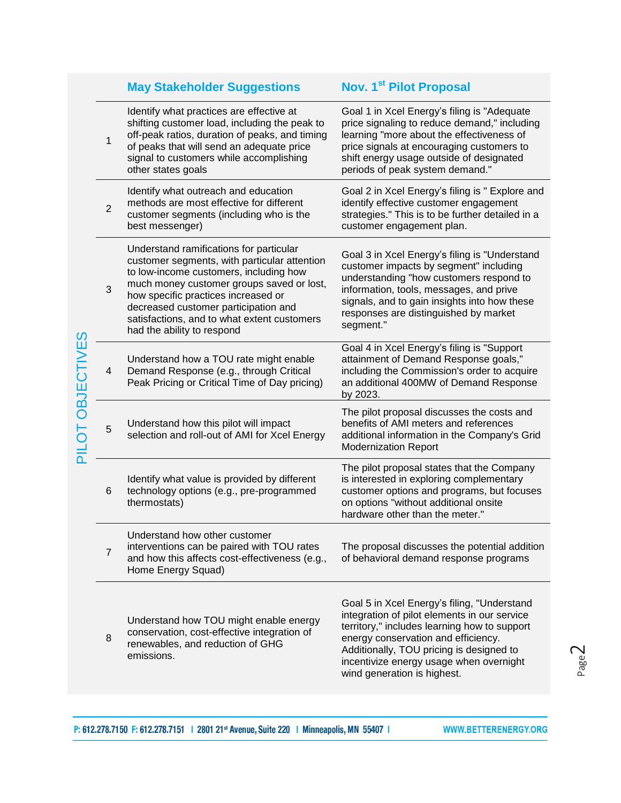|                   |                | <b>May Stakeholder Suggestions</b>                                                                                                                                                                                                                                                                                                         | Nov. 1 <sup>st</sup> Pilot Proposal                                                                                                                                                                                                                                                                      |  |  |  |  |
|-------------------|----------------|--------------------------------------------------------------------------------------------------------------------------------------------------------------------------------------------------------------------------------------------------------------------------------------------------------------------------------------------|----------------------------------------------------------------------------------------------------------------------------------------------------------------------------------------------------------------------------------------------------------------------------------------------------------|--|--|--|--|
|                   | 1              | Identify what practices are effective at<br>shifting customer load, including the peak to<br>off-peak ratios, duration of peaks, and timing<br>of peaks that will send an adequate price<br>signal to customers while accomplishing<br>other states goals                                                                                  | Goal 1 in Xcel Energy's filing is "Adequate<br>price signaling to reduce demand," including<br>learning "more about the effectiveness of<br>price signals at encouraging customers to<br>shift energy usage outside of designated<br>periods of peak system demand."                                     |  |  |  |  |
| <b>OBJECTIVES</b> | $\overline{2}$ | Identify what outreach and education<br>methods are most effective for different<br>customer segments (including who is the<br>best messenger)                                                                                                                                                                                             | Goal 2 in Xcel Energy's filing is " Explore and<br>identify effective customer engagement<br>strategies." This is to be further detailed in a<br>customer engagement plan.                                                                                                                               |  |  |  |  |
|                   | 3              | Understand ramifications for particular<br>customer segments, with particular attention<br>to low-income customers, including how<br>much money customer groups saved or lost,<br>how specific practices increased or<br>decreased customer participation and<br>satisfactions, and to what extent customers<br>had the ability to respond | Goal 3 in Xcel Energy's filing is "Understand<br>customer impacts by segment" including<br>understanding "how customers respond to<br>information, tools, messages, and prive<br>signals, and to gain insights into how these<br>responses are distinguished by market<br>segment."                      |  |  |  |  |
|                   | 4              | Understand how a TOU rate might enable<br>Demand Response (e.g., through Critical<br>Peak Pricing or Critical Time of Day pricing)                                                                                                                                                                                                         | Goal 4 in Xcel Energy's filing is "Support<br>attainment of Demand Response goals,"<br>including the Commission's order to acquire<br>an additional 400MW of Demand Response<br>by 2023.                                                                                                                 |  |  |  |  |
| <b>LO1Ic</b>      | 5              | Understand how this pilot will impact<br>selection and roll-out of AMI for Xcel Energy                                                                                                                                                                                                                                                     | The pilot proposal discusses the costs and<br>benefits of AMI meters and references<br>additional information in the Company's Grid<br><b>Modernization Report</b>                                                                                                                                       |  |  |  |  |
|                   | 6              | Identify what value is provided by different<br>technology options (e.g., pre-programmed<br>thermostats)                                                                                                                                                                                                                                   | The pilot proposal states that the Company<br>is interested in exploring complementary<br>customer options and programs, but focuses<br>on options "without additional onsite<br>hardware other than the meter."                                                                                         |  |  |  |  |
|                   | $\overline{7}$ | Understand how other customer<br>interventions can be paired with TOU rates<br>and how this affects cost-effectiveness (e.g.,<br>Home Energy Squad)                                                                                                                                                                                        | The proposal discusses the potential addition<br>of behavioral demand response programs                                                                                                                                                                                                                  |  |  |  |  |
|                   | 8              | Understand how TOU might enable energy<br>conservation, cost-effective integration of<br>renewables, and reduction of GHG<br>emissions.                                                                                                                                                                                                    | Goal 5 in Xcel Energy's filing, "Understand<br>integration of pilot elements in our service<br>territory," includes learning how to support<br>energy conservation and efficiency.<br>Additionally, TOU pricing is designed to<br>incentivize energy usage when overnight<br>wind generation is highest. |  |  |  |  |

Page  $\mathrel{\sim}$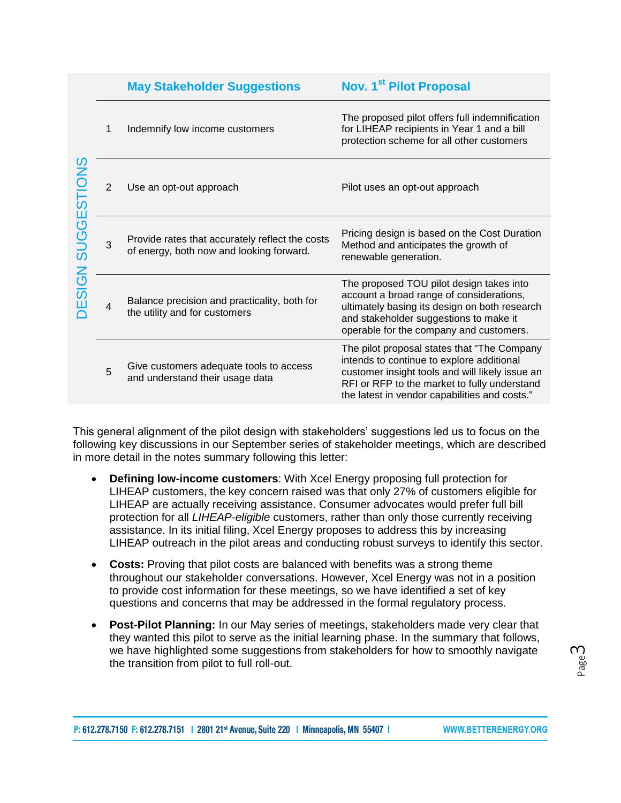|                                     |                | <b>May Stakeholder Suggestions</b>                                                          | <b>Nov. 1st Pilot Proposal</b>                                                                                                                                                                                                                |  |  |
|-------------------------------------|----------------|---------------------------------------------------------------------------------------------|-----------------------------------------------------------------------------------------------------------------------------------------------------------------------------------------------------------------------------------------------|--|--|
| <b>SUGGESTIONS</b><br><b>DESIGN</b> | 1              | Indemnify low income customers                                                              | The proposed pilot offers full indemnification<br>for LIHEAP recipients in Year 1 and a bill<br>protection scheme for all other customers                                                                                                     |  |  |
|                                     | $\overline{2}$ | Use an opt-out approach                                                                     | Pilot uses an opt-out approach                                                                                                                                                                                                                |  |  |
|                                     | 3              | Provide rates that accurately reflect the costs<br>of energy, both now and looking forward. | Pricing design is based on the Cost Duration<br>Method and anticipates the growth of<br>renewable generation.                                                                                                                                 |  |  |
|                                     | $\overline{4}$ | Balance precision and practicality, both for<br>the utility and for customers               | The proposed TOU pilot design takes into<br>account a broad range of considerations,<br>ultimately basing its design on both research<br>and stakeholder suggestions to make it<br>operable for the company and customers.                    |  |  |
|                                     | 5              | Give customers adequate tools to access<br>and understand their usage data                  | The pilot proposal states that "The Company"<br>intends to continue to explore additional<br>customer insight tools and will likely issue an<br>RFI or RFP to the market to fully understand<br>the latest in vendor capabilities and costs." |  |  |

This general alignment of the pilot design with stakeholders' suggestions led us to focus on the following key discussions in our September series of stakeholder meetings, which are described in more detail in the notes summary following this letter:

- **Defining low-income customers**: With Xcel Energy proposing full protection for LIHEAP customers, the key concern raised was that only 27% of customers eligible for LIHEAP are actually receiving assistance. Consumer advocates would prefer full bill protection for all *LIHEAP-eligible* customers, rather than only those currently receiving assistance. In its initial filing, Xcel Energy proposes to address this by increasing LIHEAP outreach in the pilot areas and conducting robust surveys to identify this sector.
- **Costs:** Proving that pilot costs are balanced with benefits was a strong theme throughout our stakeholder conversations. However, Xcel Energy was not in a position to provide cost information for these meetings, so we have identified a set of key questions and concerns that may be addressed in the formal regulatory process.
- **Post-Pilot Planning:** In our May series of meetings, stakeholders made very clear that they wanted this pilot to serve as the initial learning phase. In the summary that follows, we have highlighted some suggestions from stakeholders for how to smoothly navigate the transition from pilot to full roll-out.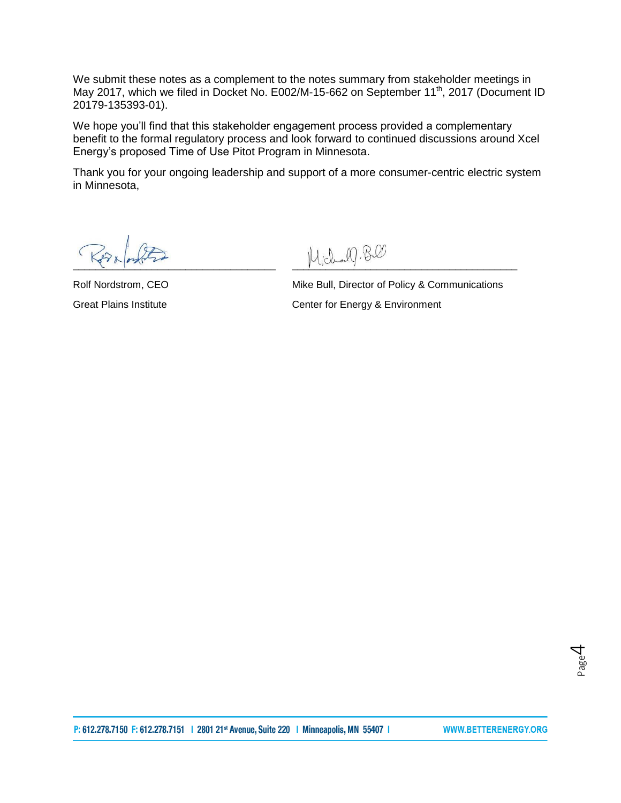We submit these notes as a complement to the notes summary from stakeholder meetings in May 2017, which we filed in Docket No. E002/M-15-662 on September 11<sup>th</sup>, 2017 (Document ID [20179-135393-01\)](https://www.edockets.state.mn.us/EFiling/edockets/searchDocuments.do?method=eDocketsResult&userType=public#{3058725E-0000-CC18-99CB-AD51846E5129}).

We hope you'll find that this stakeholder engagement process provided a complementary benefit to the formal regulatory process and look forward to continued discussions around Xcel Energy's proposed Time of Use Pitot Program in Minnesota.

Thank you for your ongoing leadership and support of a more consumer-centric electric system in Minnesota,

 $\mathcal{M}.\mathbb{B}$ 

Rolf Nordstrom, CEO Mike Bull, Director of Policy & Communications Great Plains Institute **Center for Energy & Environment**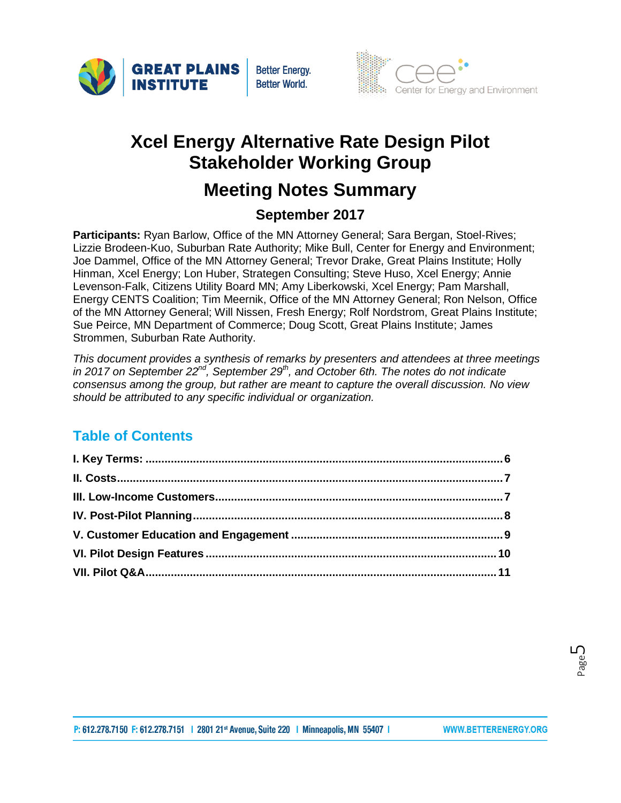





# **Xcel Energy Alternative Rate Design Pilot Stakeholder Working Group**

# **Meeting Notes Summary**

### **September 2017**

**Participants:** Ryan Barlow, Office of the MN Attorney General; Sara Bergan, Stoel-Rives; Lizzie Brodeen-Kuo, Suburban Rate Authority; Mike Bull, Center for Energy and Environment; Joe Dammel, Office of the MN Attorney General; Trevor Drake, Great Plains Institute; Holly Hinman, Xcel Energy; Lon Huber, Strategen Consulting; Steve Huso, Xcel Energy; Annie Levenson-Falk, Citizens Utility Board MN; Amy Liberkowski, Xcel Energy; Pam Marshall, Energy CENTS Coalition; Tim Meernik, Office of the MN Attorney General; Ron Nelson, Office of the MN Attorney General; Will Nissen, Fresh Energy; Rolf Nordstrom, Great Plains Institute; Sue Peirce, MN Department of Commerce; Doug Scott, Great Plains Institute; James Strommen, Suburban Rate Authority.

*This document provides a synthesis of remarks by presenters and attendees at three meetings in 2017 on September 22nd, September 29th, and October 6th. The notes do not indicate consensus among the group, but rather are meant to capture the overall discussion. No view should be attributed to any specific individual or organization.*

### **Table of Contents**

Page ഥ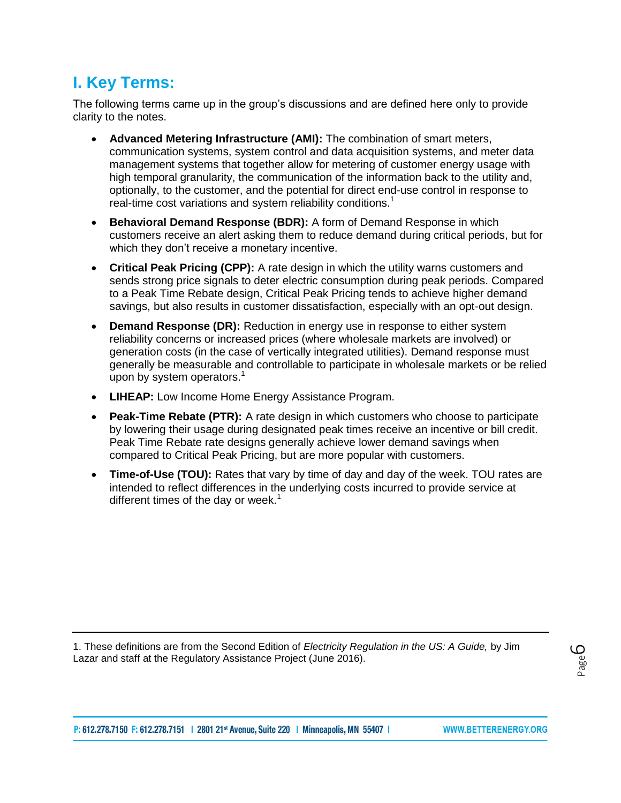## <span id="page-5-0"></span>**I. Key Terms:**

The following terms came up in the group's discussions and are defined here only to provide clarity to the notes.

- **Advanced Metering Infrastructure (AMI):** The combination of smart meters, communication systems, system control and data acquisition systems, and meter data management systems that together allow for metering of customer energy usage with high temporal granularity, the communication of the information back to the utility and, optionally, to the customer, and the potential for direct end-use control in response to real-time cost variations and system reliability conditions.<sup>1</sup>
- **Behavioral Demand Response (BDR):** A form of Demand Response in which customers receive an alert asking them to reduce demand during critical periods, but for which they don't receive a monetary incentive.
- **Critical Peak Pricing (CPP):** A rate design in which the utility warns customers and sends strong price signals to deter electric consumption during peak periods. Compared to a Peak Time Rebate design, Critical Peak Pricing tends to achieve higher demand savings, but also results in customer dissatisfaction, especially with an opt-out design.
- **Demand Response (DR):** Reduction in energy use in response to either system reliability concerns or increased prices (where wholesale markets are involved) or generation costs (in the case of vertically integrated utilities). Demand response must generally be measurable and controllable to participate in wholesale markets or be relied upon by system operators. $<sup>1</sup>$ </sup>
- **LIHEAP:** Low Income Home Energy Assistance Program.
- **Peak-Time Rebate (PTR):** A rate design in which customers who choose to participate by lowering their usage during designated peak times receive an incentive or bill credit. Peak Time Rebate rate designs generally achieve lower demand savings when compared to Critical Peak Pricing, but are more popular with customers.
- **Time-of-Use (TOU):** Rates that vary by time of day and day of the week. TOU rates are intended to reflect differences in the underlying costs incurred to provide service at different times of the day or week.<sup>1</sup>

<span id="page-5-1"></span>1. These definitions are from the Second Edition of *Electricity Regulation in the US: A Guide,* by Jim Lazar and staff at the Regulatory Assistance Project (June 2016).

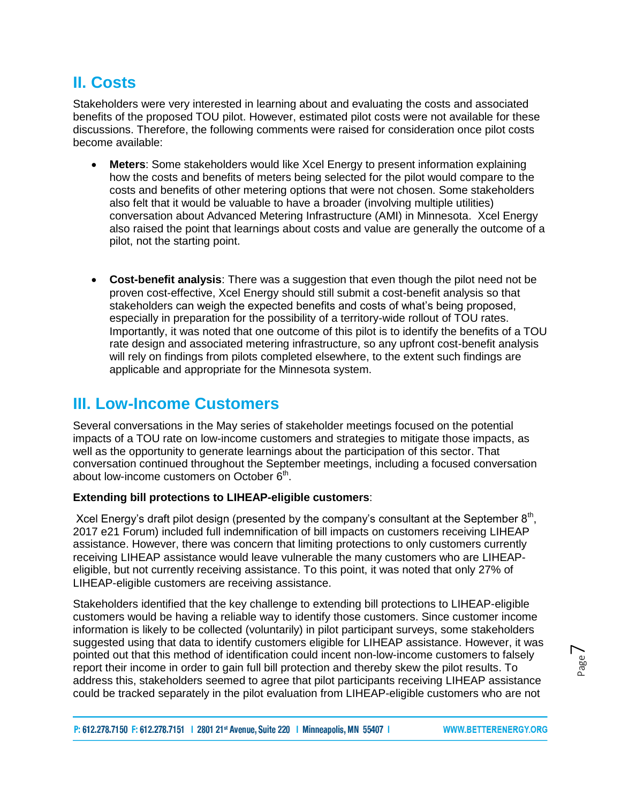### **II. Costs**

Stakeholders were very interested in learning about and evaluating the costs and associated benefits of the proposed TOU pilot. However, estimated pilot costs were not available for these discussions. Therefore, the following comments were raised for consideration once pilot costs become available:

- **Meters**: Some stakeholders would like Xcel Energy to present information explaining how the costs and benefits of meters being selected for the pilot would compare to the costs and benefits of other metering options that were not chosen. Some stakeholders also felt that it would be valuable to have a broader (involving multiple utilities) conversation about Advanced Metering Infrastructure (AMI) in Minnesota. Xcel Energy also raised the point that learnings about costs and value are generally the outcome of a pilot, not the starting point.
- **Cost-benefit analysis**: There was a suggestion that even though the pilot need not be proven cost-effective, Xcel Energy should still submit a cost-benefit analysis so that stakeholders can weigh the expected benefits and costs of what's being proposed, especially in preparation for the possibility of a territory-wide rollout of TOU rates. Importantly, it was noted that one outcome of this pilot is to identify the benefits of a TOU rate design and associated metering infrastructure, so any upfront cost-benefit analysis will rely on findings from pilots completed elsewhere, to the extent such findings are applicable and appropriate for the Minnesota system.

### <span id="page-6-0"></span>**III. Low-Income Customers**

Several conversations in the May series of stakeholder meetings focused on the potential impacts of a TOU rate on low-income customers and strategies to mitigate those impacts, as well as the opportunity to generate learnings about the participation of this sector. That conversation continued throughout the September meetings, including a focused conversation about low-income customers on October  $6<sup>th</sup>$ .

#### **Extending bill protections to LIHEAP-eligible customers**:

Xcel Energy's draft pilot design (presented by the company's consultant at the September  $8<sup>th</sup>$ , 2017 e21 Forum) included full indemnification of bill impacts on customers receiving LIHEAP assistance. However, there was concern that limiting protections to only customers currently receiving LIHEAP assistance would leave vulnerable the many customers who are LIHEAPeligible, but not currently receiving assistance. To this point, it was noted that only 27% of LIHEAP-eligible customers are receiving assistance.

Stakeholders identified that the key challenge to extending bill protections to LIHEAP-eligible customers would be having a reliable way to identify those customers. Since customer income information is likely to be collected (voluntarily) in pilot participant surveys, some stakeholders suggested using that data to identify customers eligible for LIHEAP assistance. However, it was pointed out that this method of identification could incent non-low-income customers to falsely report their income in order to gain full bill protection and thereby skew the pilot results. To address this, stakeholders seemed to agree that pilot participants receiving LIHEAP assistance could be tracked separately in the pilot evaluation from LIHEAP-eligible customers who are not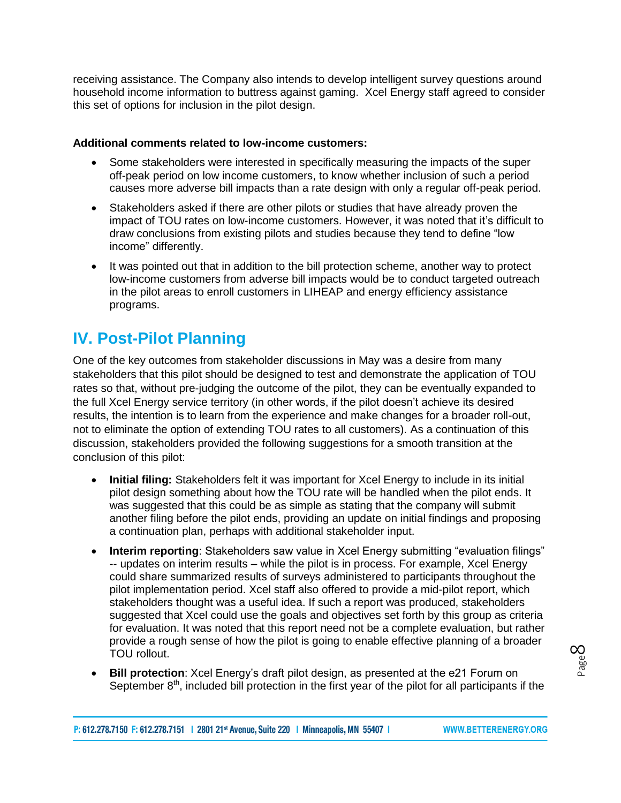receiving assistance. The Company also intends to develop intelligent survey questions around household income information to buttress against gaming. Xcel Energy staff agreed to consider this set of options for inclusion in the pilot design.

#### **Additional comments related to low-income customers:**

- Some stakeholders were interested in specifically measuring the impacts of the super off-peak period on low income customers, to know whether inclusion of such a period causes more adverse bill impacts than a rate design with only a regular off-peak period.
- Stakeholders asked if there are other pilots or studies that have already proven the impact of TOU rates on low-income customers. However, it was noted that it's difficult to draw conclusions from existing pilots and studies because they tend to define "low income" differently.
- It was pointed out that in addition to the bill protection scheme, another way to protect low-income customers from adverse bill impacts would be to conduct targeted outreach in the pilot areas to enroll customers in LIHEAP and energy efficiency assistance programs.

### <span id="page-7-0"></span>**IV. Post-Pilot Planning**

One of the key outcomes from stakeholder discussions in May was a desire from many stakeholders that this pilot should be designed to test and demonstrate the application of TOU rates so that, without pre-judging the outcome of the pilot, they can be eventually expanded to the full Xcel Energy service territory (in other words, if the pilot doesn't achieve its desired results, the intention is to learn from the experience and make changes for a broader roll-out, not to eliminate the option of extending TOU rates to all customers). As a continuation of this discussion, stakeholders provided the following suggestions for a smooth transition at the conclusion of this pilot:

- **Initial filing:** Stakeholders felt it was important for Xcel Energy to include in its initial pilot design something about how the TOU rate will be handled when the pilot ends. It was suggested that this could be as simple as stating that the company will submit another filing before the pilot ends, providing an update on initial findings and proposing a continuation plan, perhaps with additional stakeholder input.
- **Interim reporting**: Stakeholders saw value in Xcel Energy submitting "evaluation filings" -- updates on interim results – while the pilot is in process. For example, Xcel Energy could share summarized results of surveys administered to participants throughout the pilot implementation period. Xcel staff also offered to provide a mid-pilot report, which stakeholders thought was a useful idea. If such a report was produced, stakeholders suggested that Xcel could use the goals and objectives set forth by this group as criteria for evaluation. It was noted that this report need not be a complete evaluation, but rather provide a rough sense of how the pilot is going to enable effective planning of a broader TOU rollout.
- **Bill protection**: Xcel Energy's draft pilot design, as presented at the e21 Forum on September 8<sup>th</sup>, included bill protection in the first year of the pilot for all participants if the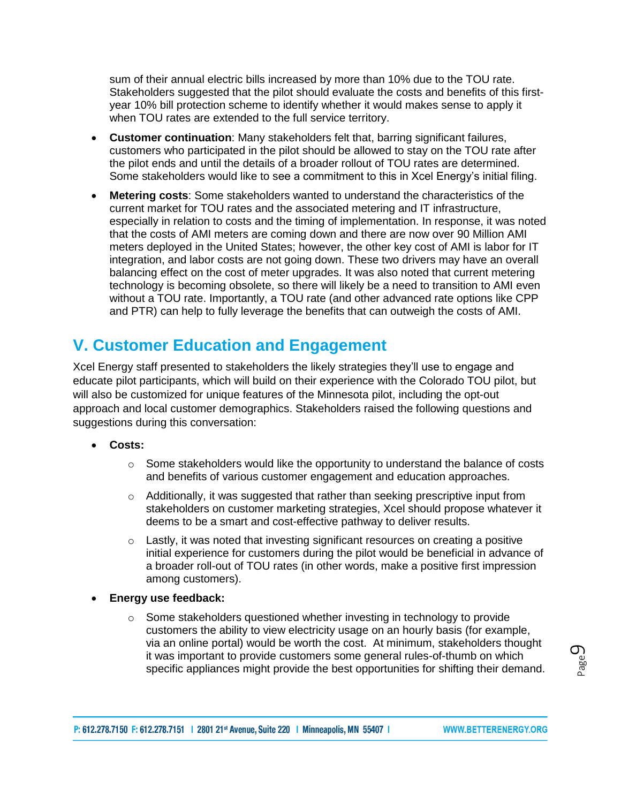sum of their annual electric bills increased by more than 10% due to the TOU rate. Stakeholders suggested that the pilot should evaluate the costs and benefits of this firstyear 10% bill protection scheme to identify whether it would makes sense to apply it when TOU rates are extended to the full service territory.

- **Customer continuation**: Many stakeholders felt that, barring significant failures, customers who participated in the pilot should be allowed to stay on the TOU rate after the pilot ends and until the details of a broader rollout of TOU rates are determined. Some stakeholders would like to see a commitment to this in Xcel Energy's initial filing.
- **Metering costs**: Some stakeholders wanted to understand the characteristics of the current market for TOU rates and the associated metering and IT infrastructure, especially in relation to costs and the timing of implementation. In response, it was noted that the costs of AMI meters are coming down and there are now over 90 Million AMI meters deployed in the United States; however, the other key cost of AMI is labor for IT integration, and labor costs are not going down. These two drivers may have an overall balancing effect on the cost of meter upgrades. It was also noted that current metering technology is becoming obsolete, so there will likely be a need to transition to AMI even without a TOU rate. Importantly, a TOU rate (and other advanced rate options like CPP and PTR) can help to fully leverage the benefits that can outweigh the costs of AMI.

## <span id="page-8-0"></span>**V. Customer Education and Engagement**

Xcel Energy staff presented to stakeholders the likely strategies they'll use to engage and educate pilot participants, which will build on their experience with the Colorado TOU pilot, but will also be customized for unique features of the Minnesota pilot, including the opt-out approach and local customer demographics. Stakeholders raised the following questions and suggestions during this conversation:

- **Costs:**
	- $\circ$  Some stakeholders would like the opportunity to understand the balance of costs and benefits of various customer engagement and education approaches.
	- o Additionally, it was suggested that rather than seeking prescriptive input from stakeholders on customer marketing strategies, Xcel should propose whatever it deems to be a smart and cost-effective pathway to deliver results.
	- $\circ$  Lastly, it was noted that investing significant resources on creating a positive initial experience for customers during the pilot would be beneficial in advance of a broader roll-out of TOU rates (in other words, make a positive first impression among customers).
- **Energy use feedback:**
	- $\circ$  Some stakeholders questioned whether investing in technology to provide customers the ability to view electricity usage on an hourly basis (for example, via an online portal) would be worth the cost. At minimum, stakeholders thought it was important to provide customers some general rules-of-thumb on which specific appliances might provide the best opportunities for shifting their demand.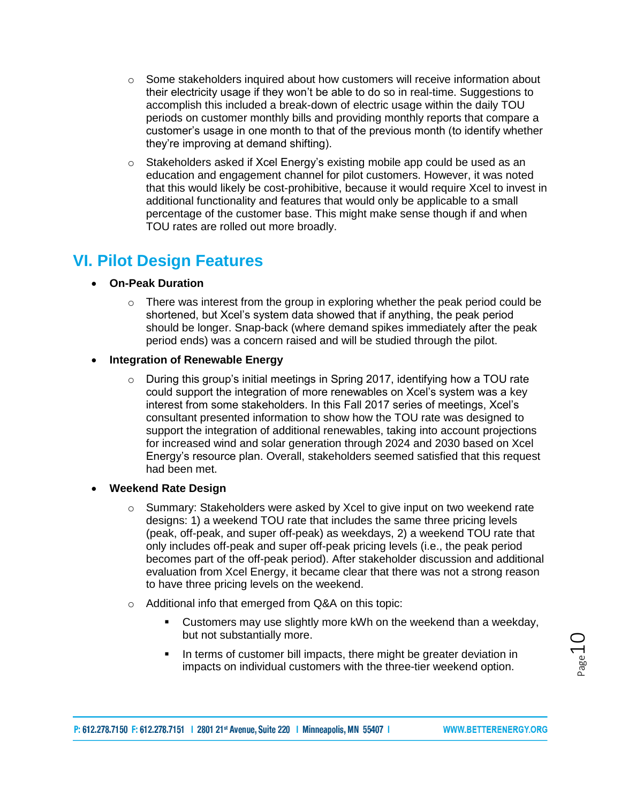- $\circ$  Some stakeholders inquired about how customers will receive information about their electricity usage if they won't be able to do so in real-time. Suggestions to accomplish this included a break-down of electric usage within the daily TOU periods on customer monthly bills and providing monthly reports that compare a customer's usage in one month to that of the previous month (to identify whether they're improving at demand shifting).
- <span id="page-9-0"></span> $\circ$  Stakeholders asked if Xcel Energy's existing mobile app could be used as an education and engagement channel for pilot customers. However, it was noted that this would likely be cost-prohibitive, because it would require Xcel to invest in additional functionality and features that would only be applicable to a small percentage of the customer base. This might make sense though if and when TOU rates are rolled out more broadly.

### **VI. Pilot Design Features**

- **On-Peak Duration**
	- o There was interest from the group in exploring whether the peak period could be shortened, but Xcel's system data showed that if anything, the peak period should be longer. Snap-back (where demand spikes immediately after the peak period ends) was a concern raised and will be studied through the pilot.

#### **Integration of Renewable Energy**

- o During this group's initial meetings in Spring 2017, identifying how a TOU rate could support the integration of more renewables on Xcel's system was a key interest from some stakeholders. In this Fall 2017 series of meetings, Xcel's consultant presented information to show how the TOU rate was designed to support the integration of additional renewables, taking into account projections for increased wind and solar generation through 2024 and 2030 based on Xcel Energy's resource plan. Overall, stakeholders seemed satisfied that this request had been met.
- **Weekend Rate Design**
	- o Summary: Stakeholders were asked by Xcel to give input on two weekend rate designs: 1) a weekend TOU rate that includes the same three pricing levels (peak, off-peak, and super off-peak) as weekdays, 2) a weekend TOU rate that only includes off-peak and super off-peak pricing levels (i.e., the peak period becomes part of the off-peak period). After stakeholder discussion and additional evaluation from Xcel Energy, it became clear that there was not a strong reason to have three pricing levels on the weekend.
	- o Additional info that emerged from Q&A on this topic:
		- **Customers may use slightly more kWh on the weekend than a weekday,** but not substantially more.
		- In terms of customer bill impacts, there might be greater deviation in impacts on individual customers with the three-tier weekend option.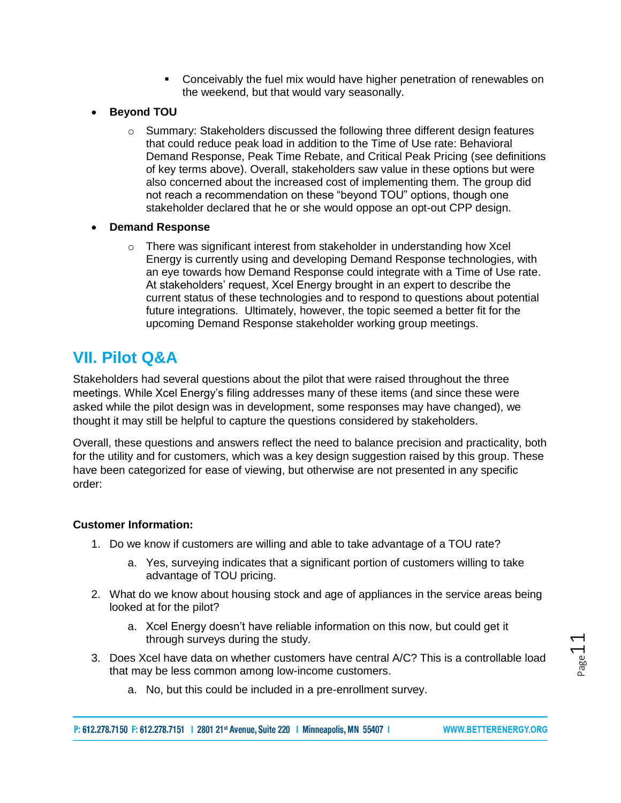- Conceivably the fuel mix would have higher penetration of renewables on the weekend, but that would vary seasonally.
- **Beyond TOU**
	- $\circ$  Summary: Stakeholders discussed the following three different design features that could reduce peak load in addition to the Time of Use rate: Behavioral Demand Response, Peak Time Rebate, and Critical Peak Pricing (see definitions of key terms above). Overall, stakeholders saw value in these options but were also concerned about the increased cost of implementing them. The group did not reach a recommendation on these "beyond TOU" options, though one stakeholder declared that he or she would oppose an opt-out CPP design.
- **Demand Response**
	- $\circ$  There was significant interest from stakeholder in understanding how Xcel Energy is currently using and developing Demand Response technologies, with an eye towards how Demand Response could integrate with a Time of Use rate. At stakeholders' request, Xcel Energy brought in an expert to describe the current status of these technologies and to respond to questions about potential future integrations. Ultimately, however, the topic seemed a better fit for the upcoming Demand Response stakeholder working group meetings.

### <span id="page-10-0"></span>**VII. Pilot Q&A**

Stakeholders had several questions about the pilot that were raised throughout the three meetings. While Xcel Energy's filing addresses many of these items (and since these were asked while the pilot design was in development, some responses may have changed), we thought it may still be helpful to capture the questions considered by stakeholders.

Overall, these questions and answers reflect the need to balance precision and practicality, both for the utility and for customers, which was a key design suggestion raised by this group. These have been categorized for ease of viewing, but otherwise are not presented in any specific order:

#### **Customer Information:**

- 1. Do we know if customers are willing and able to take advantage of a TOU rate?
	- a. Yes, surveying indicates that a significant portion of customers willing to take advantage of TOU pricing.
- 2. What do we know about housing stock and age of appliances in the service areas being looked at for the pilot?
	- a. Xcel Energy doesn't have reliable information on this now, but could get it through surveys during the study.
- 3. Does Xcel have data on whether customers have central A/C? This is a controllable load that may be less common among low-income customers.
	- a. No, but this could be included in a pre-enrollment survey.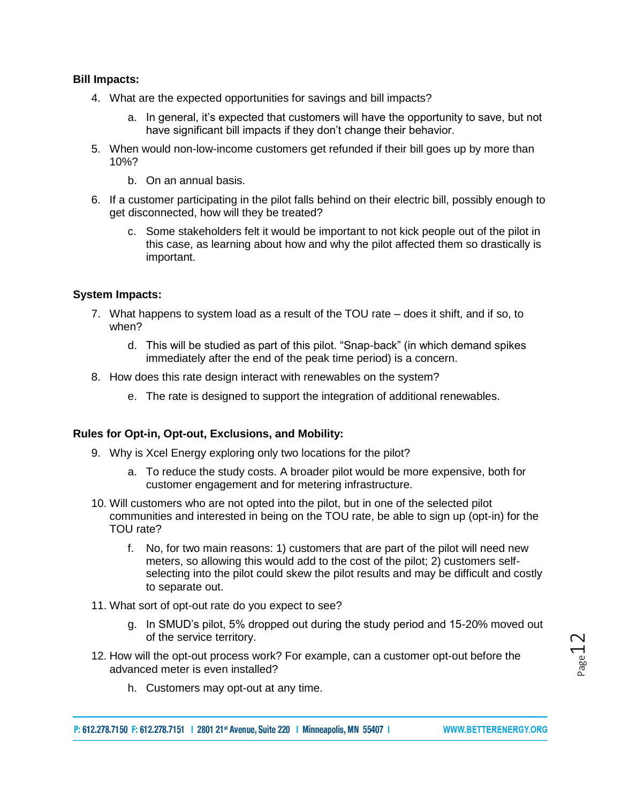#### **Bill Impacts:**

- 4. What are the expected opportunities for savings and bill impacts?
	- a. In general, it's expected that customers will have the opportunity to save, but not have significant bill impacts if they don't change their behavior.
- 5. When would non-low-income customers get refunded if their bill goes up by more than 10%?
	- b. On an annual basis.
- 6. If a customer participating in the pilot falls behind on their electric bill, possibly enough to get disconnected, how will they be treated?
	- c. Some stakeholders felt it would be important to not kick people out of the pilot in this case, as learning about how and why the pilot affected them so drastically is important.

#### **System Impacts:**

- 7. What happens to system load as a result of the TOU rate does it shift, and if so, to when?
	- d. This will be studied as part of this pilot. "Snap-back" (in which demand spikes immediately after the end of the peak time period) is a concern.
- 8. How does this rate design interact with renewables on the system?
	- e. The rate is designed to support the integration of additional renewables.

#### **Rules for Opt-in, Opt-out, Exclusions, and Mobility:**

- 9. Why is Xcel Energy exploring only two locations for the pilot?
	- a. To reduce the study costs. A broader pilot would be more expensive, both for customer engagement and for metering infrastructure.
- 10. Will customers who are not opted into the pilot, but in one of the selected pilot communities and interested in being on the TOU rate, be able to sign up (opt-in) for the TOU rate?
	- f. No, for two main reasons: 1) customers that are part of the pilot will need new meters, so allowing this would add to the cost of the pilot; 2) customers selfselecting into the pilot could skew the pilot results and may be difficult and costly to separate out.
- 11. What sort of opt-out rate do you expect to see?
	- g. In SMUD's pilot, 5% dropped out during the study period and 15-20% moved out of the service territory.
- 12. How will the opt-out process work? For example, can a customer opt-out before the advanced meter is even installed?
	- h. Customers may opt-out at any time.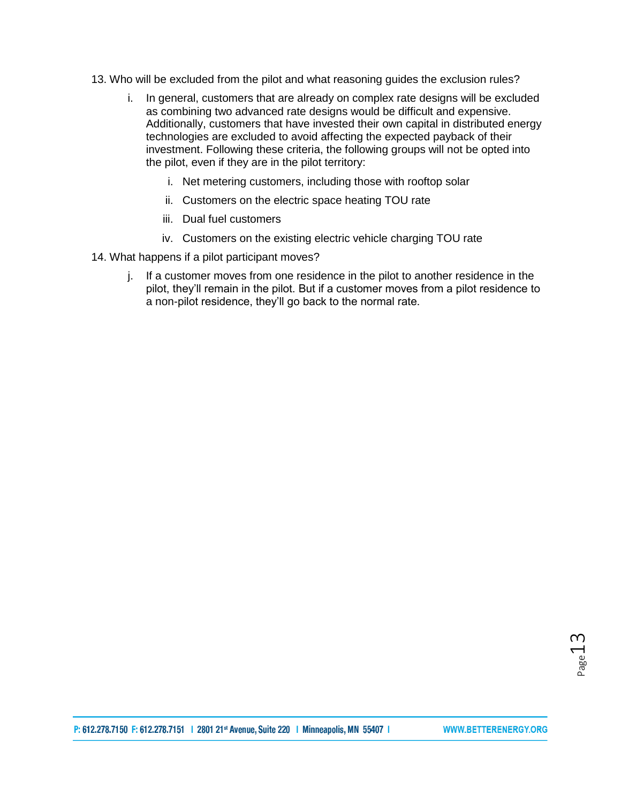- 13. Who will be excluded from the pilot and what reasoning guides the exclusion rules?
	- i. In general, customers that are already on complex rate designs will be excluded as combining two advanced rate designs would be difficult and expensive. Additionally, customers that have invested their own capital in distributed energy technologies are excluded to avoid affecting the expected payback of their investment. Following these criteria, the following groups will not be opted into the pilot, even if they are in the pilot territory:
		- i. Net metering customers, including those with rooftop solar
		- ii. Customers on the electric space heating TOU rate
		- iii. Dual fuel customers
		- iv. Customers on the existing electric vehicle charging TOU rate
- 14. What happens if a pilot participant moves?
	- j. If a customer moves from one residence in the pilot to another residence in the pilot, they'll remain in the pilot. But if a customer moves from a pilot residence to a non-pilot residence, they'll go back to the normal rate.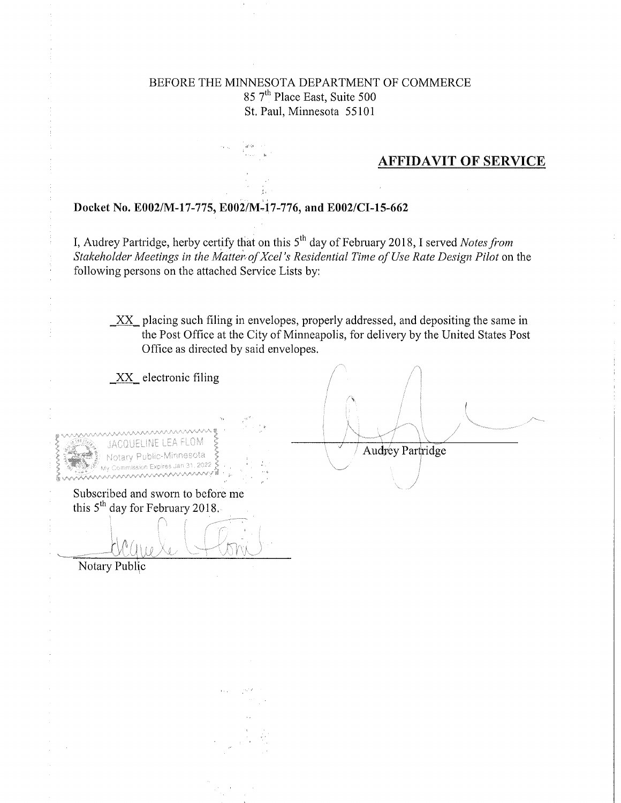### BEFORE THE MINNESOTA DEPARTMENT OF COMMERCE 85 7<sup>th</sup> Place East, Suite 500 St. Paul, Minnesota 55101

### **AFFIDAVIT OF SERVICE**

#### Docket No. E002/M-17-775, E002/M-17-776, and E002/CI-15-662

I, Audrey Partridge, herby certify that on this 5<sup>th</sup> day of February 2018, I served *Notes from* Stakeholder Meetings in the Matter of Xcel's Residential Time of Use Rate Design Pilot on the following persons on the attached Service Lists by:

XX placing such filing in envelopes, properly addressed, and depositing the same in the Post Office at the City of Minneapolis, for delivery by the United States Post Office as directed by said envelopes.

 $XX$  electronic filing

Audrey Partridge 31.2022 **AAV Commission Expires Jan** Subscribed and sworn to before me this 5<sup>th</sup> day for February 2018. Notary Public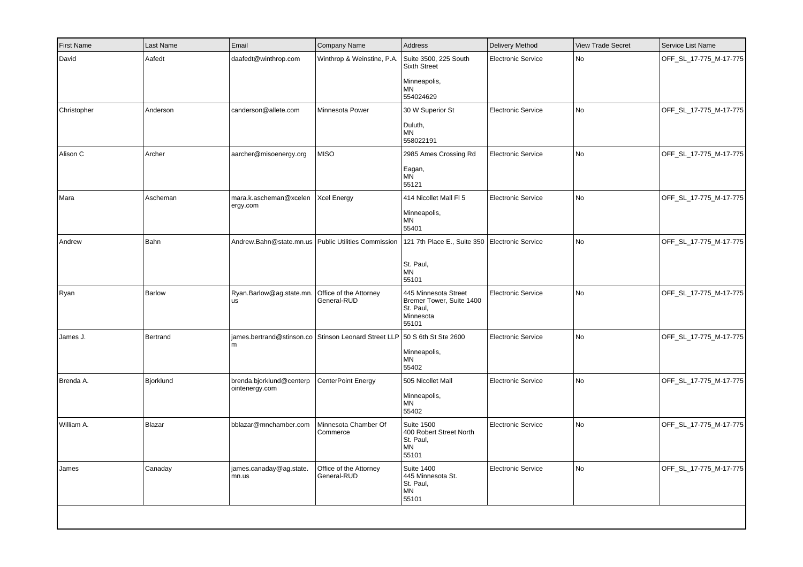| <b>First Name</b> | Last Name | Email                                      | <b>Company Name</b>                                   | Address                                                                             | Delivery Method           | <b>View Trade Secret</b> | Service List Name      |
|-------------------|-----------|--------------------------------------------|-------------------------------------------------------|-------------------------------------------------------------------------------------|---------------------------|--------------------------|------------------------|
| David             | Aafedt    | daafedt@winthrop.com                       | Winthrop & Weinstine, P.A.                            | Suite 3500, 225 South<br><b>Sixth Street</b><br>Minneapolis,<br><b>MN</b>           | <b>Electronic Service</b> | No                       | OFF_SL_17-775_M-17-775 |
|                   |           |                                            |                                                       | 554024629                                                                           |                           |                          |                        |
| Christopher       | Anderson  | canderson@allete.com                       | Minnesota Power                                       | 30 W Superior St<br>Duluth,<br><b>MN</b><br>558022191                               | <b>Electronic Service</b> | No                       | OFF_SL_17-775_M-17-775 |
| Alison C          | Archer    | aarcher@misoenergy.org                     | <b>MISO</b>                                           | 2985 Ames Crossing Rd<br>Eagan,<br><b>MN</b><br>55121                               | Electronic Service        | No                       | OFF_SL_17-775_M-17-775 |
| Mara              | Ascheman  | mara.k.ascheman@xcelen<br>ergy.com         | <b>Xcel Energy</b>                                    | 414 Nicollet Mall FI 5<br>Minneapolis,<br>ΜN<br>55401                               | <b>Electronic Service</b> | No                       | OFF_SL_17-775_M-17-775 |
| Andrew            | Bahn      |                                            | Andrew.Bahn@state.mn.us   Public Utilities Commission | 121 7th Place E., Suite 350 Electronic Service<br>St. Paul,<br><b>MN</b><br>55101   |                           | No                       | OFF_SL_17-775_M-17-775 |
| Ryan              | Barlow    | Ryan.Barlow@ag.state.mn.<br>us             | Office of the Attorney<br>General-RUD                 | 445 Minnesota Street<br>Bremer Tower, Suite 1400<br>St. Paul,<br>Minnesota<br>55101 | <b>Electronic Service</b> | No                       | OFF_SL_17-775_M-17-775 |
| James J.          | Bertrand  | m                                          | james.bertrand@stinson.co Stinson Leonard Street LLP  | 50 S 6th St Ste 2600<br>Minneapolis,<br>MN<br>55402                                 | <b>Electronic Service</b> | No                       | OFF_SL_17-775_M-17-775 |
| Brenda A.         | Bjorklund | brenda.bjorklund@centerp<br>ointenergy.com | CenterPoint Energy                                    | 505 Nicollet Mall<br>Minneapolis,<br>MN<br>55402                                    | <b>Electronic Service</b> | No                       | OFF_SL_17-775_M-17-775 |
| William A.        | Blazar    | bblazar@mnchamber.com                      | Minnesota Chamber Of<br>Commerce                      | <b>Suite 1500</b><br>400 Robert Street North<br>St. Paul,<br>MN<br>55101            | Electronic Service        | No                       | OFF_SL_17-775_M-17-775 |
| James             | Canaday   | james.canaday@ag.state.<br>mn.us           | Office of the Attorney<br>General-RUD                 | <b>Suite 1400</b><br>445 Minnesota St.<br>St. Paul,<br>MN<br>55101                  | <b>Electronic Service</b> | No                       | OFF_SL_17-775_M-17-775 |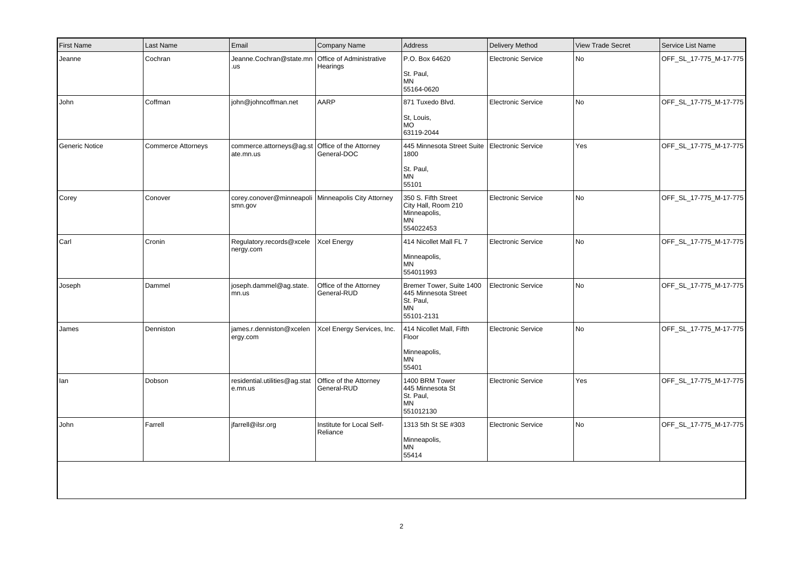| <b>First Name</b> | Last Name          | Email                                                           | Company Name                          | Address                                                                                  | Delivery Method           | <b>View Trade Secret</b> | Service List Name      |
|-------------------|--------------------|-----------------------------------------------------------------|---------------------------------------|------------------------------------------------------------------------------------------|---------------------------|--------------------------|------------------------|
| Jeanne            | Cochran            | Jeanne.Cochran@state.mn<br>.us                                  | Office of Administrative<br>Hearings  | P.O. Box 64620<br>St. Paul,<br><b>MN</b><br>55164-0620                                   | <b>Electronic Service</b> | <b>No</b>                | OFF_SL_17-775_M-17-775 |
| John              | Coffman            | john@johncoffman.net                                            | AARP                                  | 871 Tuxedo Blvd.<br>St, Louis,<br><b>MO</b><br>63119-2044                                | <b>Electronic Service</b> | <b>No</b>                | OFF_SL_17-775_M-17-775 |
| Generic Notice    | Commerce Attorneys | commerce.attorneys@ag.st<br>ate.mn.us                           | Office of the Attorney<br>General-DOC | 445 Minnesota Street Suite<br>1800<br>St. Paul,<br><b>MN</b><br>55101                    | <b>Electronic Service</b> | Yes                      | OFF_SL_17-775_M-17-775 |
| Corey             | Conover            | corey.conover@minneapoli   Minneapolis City Attorney<br>smn.gov |                                       | 350 S. Fifth Street<br>City Hall, Room 210<br>Minneapolis,<br><b>MN</b><br>554022453     | <b>Electronic Service</b> | No                       | OFF_SL_17-775_M-17-775 |
| Carl              | Cronin             | Regulatory.records@xcele<br>nergy.com                           | <b>Xcel Energy</b>                    | 414 Nicollet Mall FL 7<br>Minneapolis,<br>MN<br>554011993                                | <b>Electronic Service</b> | <b>No</b>                | OFF_SL_17-775_M-17-775 |
| Joseph            | Dammel             | joseph.dammel@ag.state.<br>mn.us                                | Office of the Attorney<br>General-RUD | Bremer Tower, Suite 1400<br>445 Minnesota Street<br>St. Paul,<br><b>MN</b><br>55101-2131 | <b>Electronic Service</b> | <b>No</b>                | OFF_SL_17-775_M-17-775 |
| James             | Denniston          | james.r.denniston@xcelen<br>ergy.com                            | Xcel Energy Services, Inc.            | 414 Nicollet Mall, Fifth<br>Floor<br>Minneapolis,<br>MN<br>55401                         | <b>Electronic Service</b> | <b>No</b>                | OFF_SL_17-775_M-17-775 |
| lan               | Dobson             | residential.utilities@ag.stat<br>e.mn.us                        | Office of the Attorney<br>General-RUD | 1400 BRM Tower<br>445 Minnesota St<br>St. Paul,<br><b>MN</b><br>551012130                | <b>Electronic Service</b> | Yes                      | OFF_SL_17-775_M-17-775 |
| John              | Farrell            | jfarrell@ilsr.org                                               | Institute for Local Self-<br>Reliance | 1313 5th St SE #303<br>Minneapolis,<br><b>MN</b><br>55414                                | <b>Electronic Service</b> | <b>No</b>                | OFF_SL_17-775_M-17-775 |
|                   |                    |                                                                 |                                       |                                                                                          |                           |                          |                        |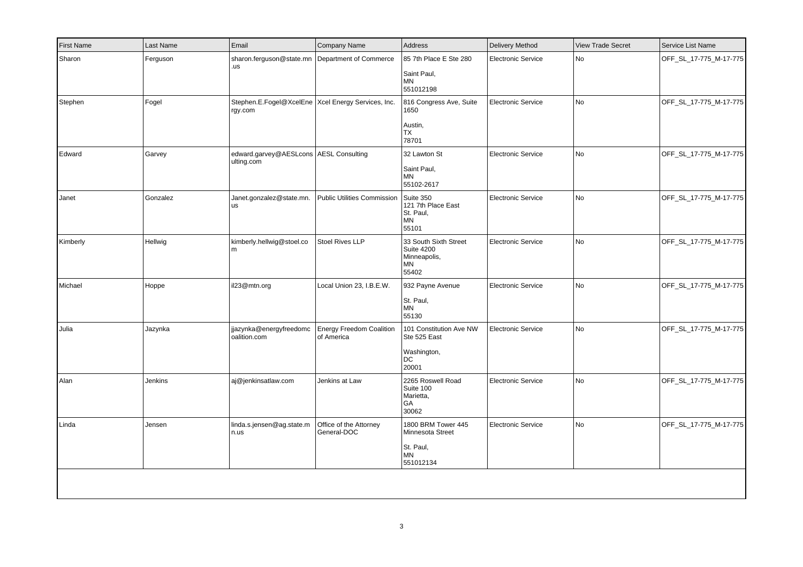| sharon.ferguson@state.mn Department of Commerce<br>.us<br>Stephen.E.Fogel@XcelEne   Xcel Energy Services, Inc. |                                               | 85 7th Place E Ste 280<br>Saint Paul,<br>MN<br>551012198                         | <b>Electronic Service</b> | <b>No</b> | OFF SL 17-775 M-17-775 |
|----------------------------------------------------------------------------------------------------------------|-----------------------------------------------|----------------------------------------------------------------------------------|---------------------------|-----------|------------------------|
|                                                                                                                |                                               |                                                                                  |                           |           |                        |
| rgy.com                                                                                                        |                                               | 816 Congress Ave, Suite<br>1650<br>Austin,<br>TX<br>78701                        | <b>Electronic Service</b> | No        | OFF_SL_17-775_M-17-775 |
| edward.garvey@AESLcons   AESL Consulting<br>ulting.com                                                         |                                               | 32 Lawton St<br>Saint Paul,<br><b>MN</b><br>55102-2617                           | <b>Electronic Service</b> | No        | OFF_SL_17-775_M-17-775 |
| Janet.gonzalez@state.mn.<br><b>us</b>                                                                          | Public Utilities Commission                   | Suite 350<br>121 7th Place East<br>St. Paul.<br><b>MN</b><br>55101               | Electronic Service        | No        | OFF_SL_17-775_M-17-775 |
| kimberly.hellwig@stoel.co<br>l m                                                                               | <b>Stoel Rives LLP</b>                        | 33 South Sixth Street<br><b>Suite 4200</b><br>Minneapolis,<br><b>MN</b><br>55402 | <b>Electronic Service</b> | No        | OFF_SL_17-775_M-17-775 |
| il23@mtn.org                                                                                                   | Local Union 23, I.B.E.W.                      | 932 Payne Avenue<br>St. Paul,<br>MN<br>55130                                     | <b>Electronic Service</b> | No        | OFF_SL_17-775_M-17-775 |
| jjazynka@energyfreedomc<br>oalition.com                                                                        | <b>Energy Freedom Coalition</b><br>of America | 101 Constitution Ave NW<br>Ste 525 East<br>Washington,<br>DC<br>20001            | <b>Electronic Service</b> | No        | OFF_SL_17-775_M-17-775 |
| aj@jenkinsatlaw.com                                                                                            | Jenkins at Law                                | 2265 Roswell Road<br>Suite 100<br>Marietta,<br>GA<br>30062                       | <b>Electronic Service</b> | No        | OFF_SL_17-775_M-17-775 |
| linda.s.jensen@ag.state.m<br>n.us                                                                              | Office of the Attorney<br>General-DOC         | 1800 BRM Tower 445<br>Minnesota Street<br>St. Paul,<br><b>MN</b><br>551012134    | <b>Electronic Service</b> | No        | OFF_SL_17-775_M-17-775 |
|                                                                                                                |                                               |                                                                                  |                           |           |                        |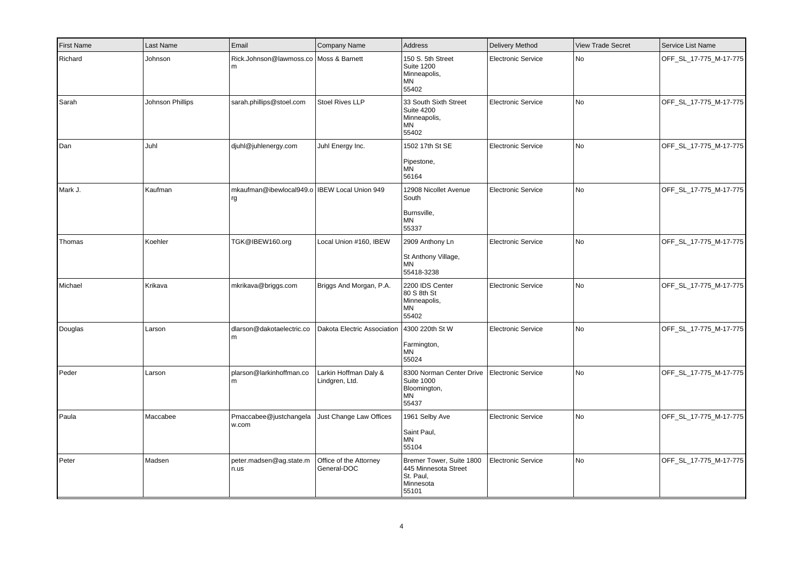| <b>First Name</b> | Last Name        | Email                                                | <b>Company Name</b>                     | Address                                                                             | <b>Delivery Method</b>    | <b>View Trade Secret</b> | Service List Name      |
|-------------------|------------------|------------------------------------------------------|-----------------------------------------|-------------------------------------------------------------------------------------|---------------------------|--------------------------|------------------------|
| Richard           | Johnson          | Rick.Johnson@lawmoss.co Moss & Barnett<br>m          |                                         | 150 S. 5th Street<br><b>Suite 1200</b><br>Minneapolis,<br>ΜN<br>55402               | <b>Electronic Service</b> | No                       | OFF_SL_17-775_M-17-775 |
| Sarah             | Johnson Phillips | sarah.phillips@stoel.com                             | <b>Stoel Rives LLP</b>                  | 33 South Sixth Street<br><b>Suite 4200</b><br>Minneapolis,<br>MN<br>55402           | <b>Electronic Service</b> | No                       | OFF_SL_17-775_M-17-775 |
| Dan               | Juhl             | djuhl@juhlenergy.com                                 | Juhl Energy Inc.                        | 1502 17th St SE<br>Pipestone,<br><b>MN</b><br>56164                                 | <b>Electronic Service</b> | No                       | OFF_SL_17-775_M-17-775 |
| Mark J.           | Kaufman          | mkaufman@ibewlocal949.o   IBEW Local Union 949<br>rg |                                         | 12908 Nicollet Avenue<br>South<br>Burnsville,<br><b>MN</b><br>55337                 | <b>Electronic Service</b> | <b>No</b>                | OFF_SL_17-775_M-17-775 |
| Thomas            | Koehler          | TGK@IBEW160.org                                      | Local Union #160, IBEW                  | 2909 Anthony Ln<br>St Anthony Village,<br>MN<br>55418-3238                          | <b>Electronic Service</b> | No                       | OFF_SL_17-775_M-17-775 |
| Michael           | Krikava          | mkrikava@briggs.com                                  | Briggs And Morgan, P.A.                 | 2200 IDS Center<br>80 S 8th St<br>Minneapolis,<br>MN<br>55402                       | <b>Electronic Service</b> | No                       | OFF_SL_17-775_M-17-775 |
| Douglas           | Larson           | dlarson@dakotaelectric.co<br>m                       | Dakota Electric Association             | 4300 220th St W<br>Farmington,<br>MN<br>55024                                       | <b>Electronic Service</b> | No                       | OFF_SL_17-775_M-17-775 |
| Peder             | Larson           | plarson@larkinhoffman.co<br>m                        | Larkin Hoffman Daly &<br>Lindgren, Ltd. | 8300 Norman Center Drive<br><b>Suite 1000</b><br>Bloomington,<br>ΜN<br>55437        | <b>Electronic Service</b> | No                       | OFF_SL_17-775_M-17-775 |
| Paula             | Maccabee         | Pmaccabee@justchangela<br>w.com                      | Just Change Law Offices                 | 1961 Selby Ave<br>Saint Paul,<br>ΜN<br>55104                                        | <b>Electronic Service</b> | No                       | OFF_SL_17-775_M-17-775 |
| Peter             | Madsen           | peter.madsen@ag.state.m<br>n.us                      | Office of the Attorney<br>General-DOC   | Bremer Tower, Suite 1800<br>445 Minnesota Street<br>St. Paul,<br>Minnesota<br>55101 | <b>Electronic Service</b> | No                       | OFF_SL_17-775_M-17-775 |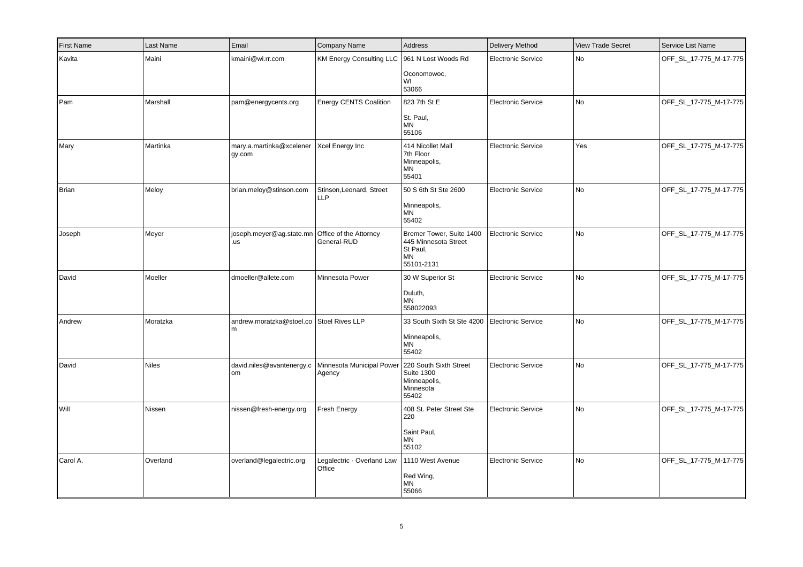| <b>First Name</b> | Last Name    | Email                                                  | Company Name                                               | Address                                                                                 | <b>Delivery Method</b>    | <b>View Trade Secret</b> | Service List Name      |
|-------------------|--------------|--------------------------------------------------------|------------------------------------------------------------|-----------------------------------------------------------------------------------------|---------------------------|--------------------------|------------------------|
| Kavita            | Maini        | kmaini@wi.rr.com                                       | <b>KM Energy Consulting LLC</b>                            | 961 N Lost Woods Rd<br>Oconomowoc,<br>WI                                                | <b>Electronic Service</b> | No                       | OFF_SL_17-775_M-17-775 |
|                   |              |                                                        |                                                            | 53066                                                                                   |                           |                          |                        |
| Pam               | Marshall     | pam@energycents.org                                    | <b>Energy CENTS Coalition</b>                              | 823 7th St E<br>St. Paul,<br>MN<br>55106                                                | <b>Electronic Service</b> | No                       | OFF_SL_17-775_M-17-775 |
| Mary              | Martinka     | mary.a.martinka@xcelener   Xcel Energy Inc<br>gy.com   |                                                            | 414 Nicollet Mall<br>7th Floor<br>Minneapolis,<br>ΜN<br>55401                           | <b>Electronic Service</b> | Yes                      | OFF_SL_17-775_M-17-775 |
| Brian             | Meloy        | brian.meloy@stinson.com                                | Stinson, Leonard, Street<br><b>LLP</b>                     | 50 S 6th St Ste 2600<br>Minneapolis,<br>ΜN<br>55402                                     | <b>Electronic Service</b> | <b>No</b>                | OFF_SL_17-775_M-17-775 |
| Joseph            | Meyer        | joseph.meyer@ag.state.mn Office of the Attorney<br>.us | General-RUD                                                | Bremer Tower, Suite 1400<br>445 Minnesota Street<br>St Paul,<br><b>MN</b><br>55101-2131 | <b>Electronic Service</b> | No                       | OFF_SL_17-775_M-17-775 |
| David             | Moeller      | dmoeller@allete.com                                    | Minnesota Power                                            | 30 W Superior St<br>Duluth,<br>ΜN<br>558022093                                          | <b>Electronic Service</b> | <b>No</b>                | OFF_SL_17-775_M-17-775 |
| Andrew            | Moratzka     | andrew.moratzka@stoel.co Stoel Rives LLP<br>m          |                                                            | 33 South Sixth St Ste 4200<br>Minneapolis,<br>ΜN<br>55402                               | <b>Electronic Service</b> | No                       | OFF_SL_17-775_M-17-775 |
| David             | <b>Niles</b> | david.niles@avantenergy.c<br>om                        | Minnesota Municipal Power 220 South Sixth Street<br>Agency | <b>Suite 1300</b><br>Minneapolis,<br>Minnesota<br>55402                                 | <b>Electronic Service</b> | N <sub>o</sub>           | OFF_SL_17-775_M-17-775 |
| Will              | Nissen       | nissen@fresh-energy.org                                | Fresh Energy                                               | 408 St. Peter Street Ste<br>220<br>Saint Paul,<br><b>MN</b><br>55102                    | <b>Electronic Service</b> | No                       | OFF_SL_17-775_M-17-775 |
| Carol A.          | Overland     | overland@legalectric.org                               | Legalectric - Overland Law   1110 West Avenue<br>Office    | Red Wing,<br>ΜN<br>55066                                                                | <b>Electronic Service</b> | No                       | OFF_SL_17-775_M-17-775 |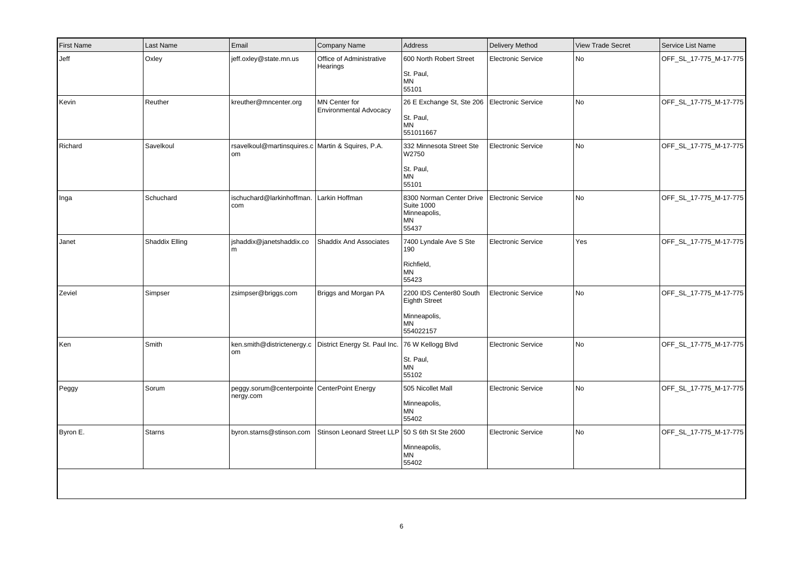| <b>First Name</b> | Last Name      | Email                                                           | Company Name                                          | Address                                                                                   | <b>Delivery Method</b>    | <b>View Trade Secret</b> | Service List Name      |
|-------------------|----------------|-----------------------------------------------------------------|-------------------------------------------------------|-------------------------------------------------------------------------------------------|---------------------------|--------------------------|------------------------|
| Jeff              | Oxley          | jeff.oxley@state.mn.us                                          | Office of Administrative<br>Hearings                  | 600 North Robert Street<br>St. Paul,<br><b>MN</b><br>55101                                | <b>Electronic Service</b> | <b>No</b>                | OFF SL 17-775 M-17-775 |
| Kevin             | Reuther        | kreuther@mncenter.org                                           | <b>MN Center for</b><br><b>Environmental Advocacy</b> | 26 E Exchange St, Ste 206<br>St. Paul,<br><b>MN</b><br>551011667                          | <b>Electronic Service</b> | <b>No</b>                | OFF_SL_17-775_M-17-775 |
| Richard           | Savelkoul      | rsavelkoul@martinsquires.c Martin & Squires, P.A.<br>om         |                                                       | 332 Minnesota Street Ste<br>W2750<br>St. Paul,<br><b>MN</b><br>55101                      | <b>Electronic Service</b> | <b>No</b>                | OFF_SL_17-775_M-17-775 |
| Inga              | Schuchard      | ischuchard@larkinhoffman. Larkin Hoffman<br>com                 |                                                       | 8300 Norman Center Drive<br><b>Suite 1000</b><br>Minneapolis,<br><b>MN</b><br>55437       | <b>Electronic Service</b> | <b>No</b>                | OFF_SL_17-775_M-17-775 |
| Janet             | Shaddix Elling | shaddix@janetshaddix.co<br>m                                    | Shaddix And Associates                                | 7400 Lyndale Ave S Ste<br>190<br>Richfield,<br><b>MN</b><br>55423                         | <b>Electronic Service</b> | Yes                      | OFF_SL_17-775_M-17-775 |
| Zeviel            | Simpser        | zsimpser@briggs.com                                             | Briggs and Morgan PA                                  | 2200 IDS Center80 South<br><b>Eighth Street</b><br>Minneapolis,<br><b>MN</b><br>554022157 | <b>Electronic Service</b> | No                       | OFF_SL_17-775_M-17-775 |
| Ken               | Smith          | ken.smith@districtenergy.c District Energy St. Paul Inc.<br>lom |                                                       | 76 W Kellogg Blvd<br>St. Paul,<br><b>MN</b><br>55102                                      | <b>Electronic Service</b> | <b>No</b>                | OFF_SL_17-775_M-17-775 |
| Peggy             | Sorum          | peggy.sorum@centerpointe CenterPoint Energy<br>nergy.com        |                                                       | 505 Nicollet Mall<br>Minneapolis,<br><b>MN</b><br>55402                                   | <b>Electronic Service</b> | No                       | OFF_SL_17-775_M-17-775 |
| Byron E.          | <b>Starns</b>  | byron.starns@stinson.com                                        | Stinson Leonard Street LLP 50 S 6th St Ste 2600       | Minneapolis,<br><b>MN</b><br>55402                                                        | <b>Electronic Service</b> | No                       | OFF_SL_17-775_M-17-775 |
|                   |                |                                                                 |                                                       |                                                                                           |                           |                          |                        |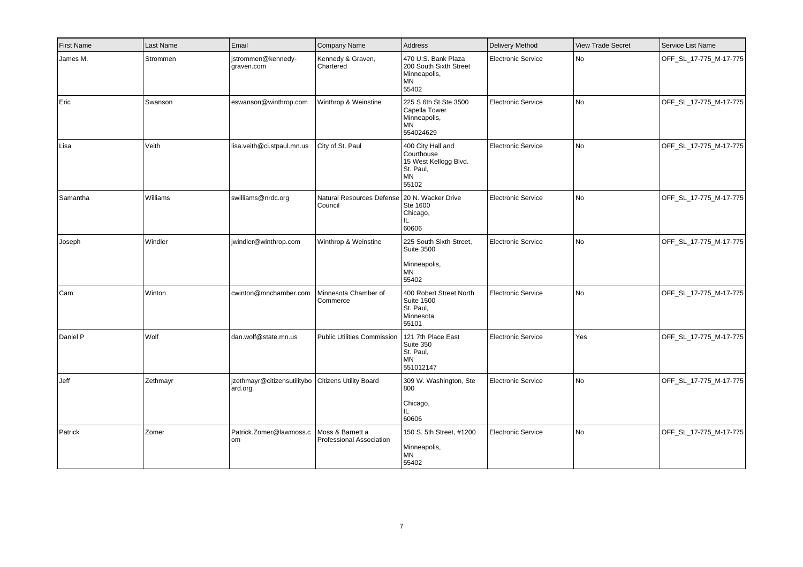| <b>First Name</b> | Last Name | Email                                                         | Company Name                                              | Address                                                                                     | Delivery Method           | <b>View Trade Secret</b> | Service List Name      |
|-------------------|-----------|---------------------------------------------------------------|-----------------------------------------------------------|---------------------------------------------------------------------------------------------|---------------------------|--------------------------|------------------------|
| James M.          | Strommen  | istrommen@kennedy-<br>graven.com                              | Kennedy & Graven,<br>Chartered                            | 470 U.S. Bank Plaza<br>200 South Sixth Street<br>Minneapolis,<br>MN<br>55402                | <b>Electronic Service</b> | No                       | OFF_SL_17-775_M-17-775 |
| Eric              | Swanson   | eswanson@winthrop.com                                         | Winthrop & Weinstine                                      | 225 S 6th St Ste 3500<br>Capella Tower<br>Minneapolis,<br><b>MN</b><br>554024629            | <b>Electronic Service</b> | No                       | OFF_SL_17-775_M-17-775 |
| Lisa              | Veith     | lisa.veith@ci.stpaul.mn.us                                    | City of St. Paul                                          | 400 City Hall and<br>Courthouse<br>15 West Kellogg Blvd.<br>St. Paul,<br><b>MN</b><br>55102 | <b>Electronic Service</b> | No                       | OFF_SL_17-775_M-17-775 |
| Samantha          | Williams  | swilliams@nrdc.org                                            | Natural Resources Defense   20 N. Wacker Drive<br>Council | Ste 1600<br>Chicago,<br>IL.<br>60606                                                        | <b>Electronic Service</b> | No                       | OFF_SL_17-775_M-17-775 |
| Joseph            | Windler   | windler@winthrop.com                                          | Winthrop & Weinstine                                      | 225 South Sixth Street,<br><b>Suite 3500</b><br>Minneapolis,<br><b>MN</b><br>55402          | <b>Electronic Service</b> | No                       | OFF_SL_17-775_M-17-775 |
| Cam               | Winton    | cwinton@mnchamber.com                                         | Minnesota Chamber of<br>Commerce                          | 400 Robert Street North<br><b>Suite 1500</b><br>St. Paul,<br>Minnesota<br>55101             | <b>Electronic Service</b> | No                       | OFF_SL_17-775_M-17-775 |
| Daniel P          | Wolf      | dan.wolf@state.mn.us                                          | <b>Public Utilities Commission</b>                        | 121 7th Place East<br>Suite 350<br>St. Paul,<br><b>MN</b><br>551012147                      | <b>Electronic Service</b> | Yes                      | OFF_SL_17-775_M-17-775 |
| Jeff              | Zethmayr  | izethmayr@citizensutilitybo Citizens Utility Board<br>ard.org |                                                           | 309 W. Washington, Ste<br>800<br>Chicago,<br>IL.<br>60606                                   | <b>Electronic Service</b> | No                       | OFF_SL_17-775_M-17-775 |
| Patrick           | Zomer     | Patrick.Zomer@lawmoss.c<br>lom                                | Moss & Barnett a<br>Professional Association              | 150 S. 5th Street, #1200<br>Minneapolis,<br><b>MN</b><br>55402                              | <b>Electronic Service</b> | No                       | OFF_SL_17-775_M-17-775 |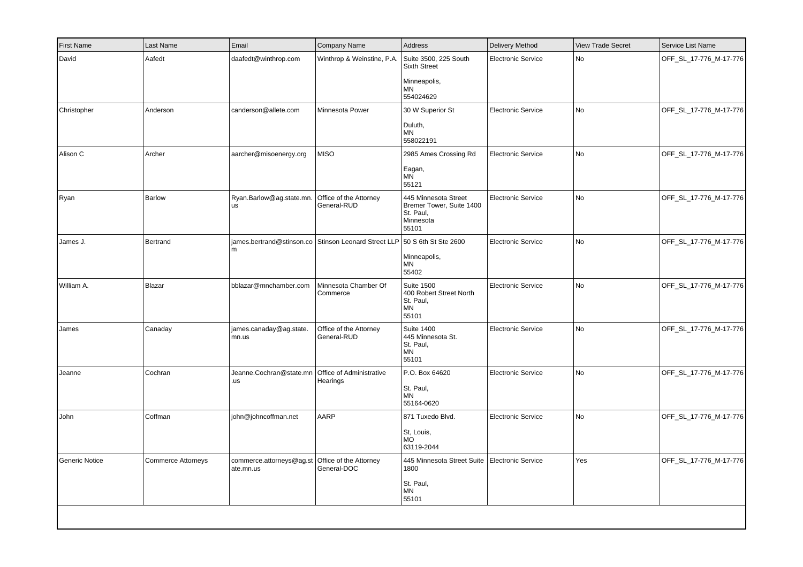| First Name     | Last Name                 | Email                                                          | Company Name                                                              | Address                                                                             | Delivery Method           | <b>View Trade Secret</b> | Service List Name      |
|----------------|---------------------------|----------------------------------------------------------------|---------------------------------------------------------------------------|-------------------------------------------------------------------------------------|---------------------------|--------------------------|------------------------|
| David          | Aafedt                    | daafedt@winthrop.com                                           | Winthrop & Weinstine, P.A.                                                | Suite 3500, 225 South<br><b>Sixth Street</b><br>Minneapolis,<br>MN<br>554024629     | <b>Electronic Service</b> | No                       | OFF_SL_17-776_M-17-776 |
| Christopher    | Anderson                  | canderson@allete.com                                           | Minnesota Power                                                           | 30 W Superior St<br>Duluth,<br>MN<br>558022191                                      | <b>Electronic Service</b> | No                       | OFF_SL_17-776_M-17-776 |
| Alison C       | Archer                    | aarcher@misoenergy.org                                         | <b>MISO</b>                                                               | 2985 Ames Crossing Rd<br>Eagan,<br><b>MN</b><br>55121                               | <b>Electronic Service</b> | No                       | OFF_SL_17-776_M-17-776 |
| Ryan           | Barlow                    | Ryan.Barlow@ag.state.mn.<br><b>us</b>                          | Office of the Attorney<br>General-RUD                                     | 445 Minnesota Street<br>Bremer Tower, Suite 1400<br>St. Paul,<br>Minnesota<br>55101 | <b>Electronic Service</b> | No                       | OFF_SL_17-776_M-17-776 |
| James J.       | Bertrand                  | m                                                              | james.bertrand@stinson.co Stinson Leonard Street LLP 50 S 6th St Ste 2600 | Minneapolis,<br>MN<br>55402                                                         | <b>Electronic Service</b> | No                       | OFF_SL_17-776_M-17-776 |
| William A.     | Blazar                    | bblazar@mnchamber.com                                          | Minnesota Chamber Of<br>Commerce                                          | <b>Suite 1500</b><br>400 Robert Street North<br>St. Paul,<br>MN<br>55101            | <b>Electronic Service</b> | <b>No</b>                | OFF_SL_17-776_M-17-776 |
| James          | Canaday                   | james.canaday@ag.state.<br>mn.us                               | Office of the Attorney<br>General-RUD                                     | <b>Suite 1400</b><br>445 Minnesota St.<br>St. Paul,<br>MN<br>55101                  | <b>Electronic Service</b> | No                       | OFF_SL_17-776_M-17-776 |
| Jeanne         | Cochran                   | Jeanne.Cochran@state.mn<br>.us                                 | Office of Administrative<br>Hearings                                      | P.O. Box 64620<br>St. Paul,<br>MN<br>55164-0620                                     | <b>Electronic Service</b> | No                       | OFF_SL_17-776_M-17-776 |
| John           | Coffman                   | john@johncoffman.net                                           | AARP                                                                      | 871 Tuxedo Blvd.<br>St, Louis,<br><b>MO</b><br>63119-2044                           | <b>Electronic Service</b> | No                       | OFF_SL_17-776_M-17-776 |
| Generic Notice | <b>Commerce Attorneys</b> | commerce.attorneys@ag.st   Office of the Attorney<br>ate.mn.us | General-DOC                                                               | 445 Minnesota Street Suite<br>1800<br>St. Paul,<br>MN<br>55101                      | <b>Electronic Service</b> | Yes                      | OFF_SL_17-776_M-17-776 |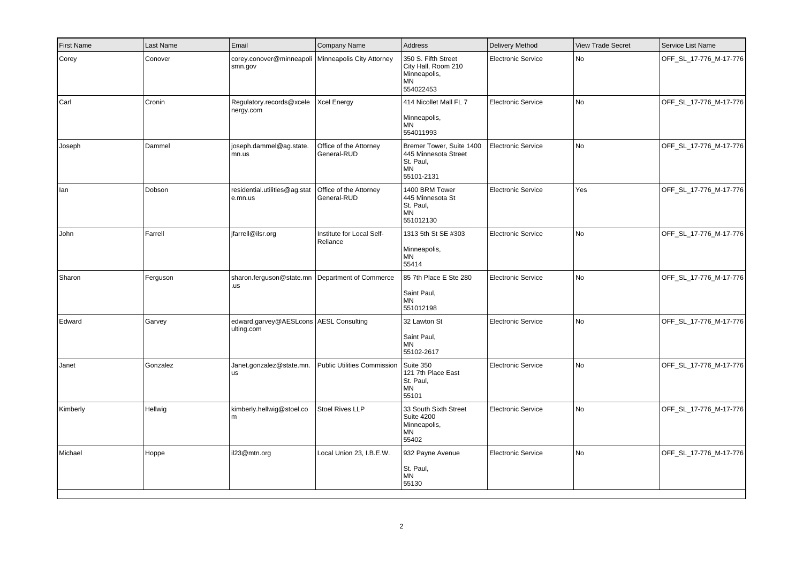| <b>First Name</b> | Last Name | Email                                                           | <b>Company Name</b>                   | Address                                                                                  | Delivery Method           | <b>View Trade Secret</b> | Service List Name      |
|-------------------|-----------|-----------------------------------------------------------------|---------------------------------------|------------------------------------------------------------------------------------------|---------------------------|--------------------------|------------------------|
| Corey             | Conover   | corey.conover@minneapoli   Minneapolis City Attorney<br>smn.gov |                                       | 350 S. Fifth Street<br>City Hall, Room 210<br>Minneapolis,<br><b>MN</b><br>554022453     | <b>Electronic Service</b> | No                       | OFF_SL_17-776_M-17-776 |
| Carl              | Cronin    | Regulatory.records@xcele   Xcel Energy<br>nergy.com             |                                       | 414 Nicollet Mall FL 7<br>Minneapolis,<br><b>MN</b><br>554011993                         | <b>Electronic Service</b> | No                       | OFF_SL_17-776_M-17-776 |
| Joseph            | Dammel    | joseph.dammel@ag.state.<br>mn.us                                | Office of the Attorney<br>General-RUD | Bremer Tower, Suite 1400<br>445 Minnesota Street<br>St. Paul,<br><b>MN</b><br>55101-2131 | <b>Electronic Service</b> | No                       | OFF_SL_17-776_M-17-776 |
| lan               | Dobson    | residential.utilities@ag.stat<br>e.mn.us                        | Office of the Attorney<br>General-RUD | 1400 BRM Tower<br>445 Minnesota St<br>St. Paul,<br><b>MN</b><br>551012130                | <b>Electronic Service</b> | Yes                      | OFF_SL_17-776_M-17-776 |
| John              | Farrell   | jfarrell@ilsr.org                                               | Institute for Local Self-<br>Reliance | 1313 5th St SE #303<br>Minneapolis,<br>ΜN<br>55414                                       | <b>Electronic Service</b> | No                       | OFF_SL_17-776_M-17-776 |
| Sharon            | Ferguson  | sharon.ferguson@state.mn   Department of Commerce<br>.us        |                                       | 85 7th Place E Ste 280<br>Saint Paul,<br><b>MN</b><br>551012198                          | Electronic Service        | No                       | OFF_SL_17-776_M-17-776 |
| Edward            | Garvey    | edward.garvey@AESLcons AESL Consulting<br>ulting.com            |                                       | 32 Lawton St<br>Saint Paul,<br><b>MN</b><br>55102-2617                                   | <b>Electronic Service</b> | No                       | OFF_SL_17-776_M-17-776 |
| Janet             | Gonzalez  | Janet.gonzalez@state.mn.<br><b>us</b>                           | Public Utilities Commission           | Suite 350<br>121 7th Place East<br>St. Paul,<br><b>MN</b><br>55101                       | <b>Electronic Service</b> | No                       | OFF_SL_17-776_M-17-776 |
| Kimberly          | Hellwig   | kimberly.hellwig@stoel.co<br> m                                 | Stoel Rives LLP                       | 33 South Sixth Street<br><b>Suite 4200</b><br>Minneapolis,<br>ΜN<br>55402                | <b>Electronic Service</b> | No                       | OFF_SL_17-776_M-17-776 |
| Michael           | Hoppe     | il23@mtn.org                                                    | Local Union 23, I.B.E.W.              | 932 Payne Avenue<br>St. Paul,<br><b>MN</b><br>55130                                      | <b>Electronic Service</b> | No                       | OFF_SL_17-776_M-17-776 |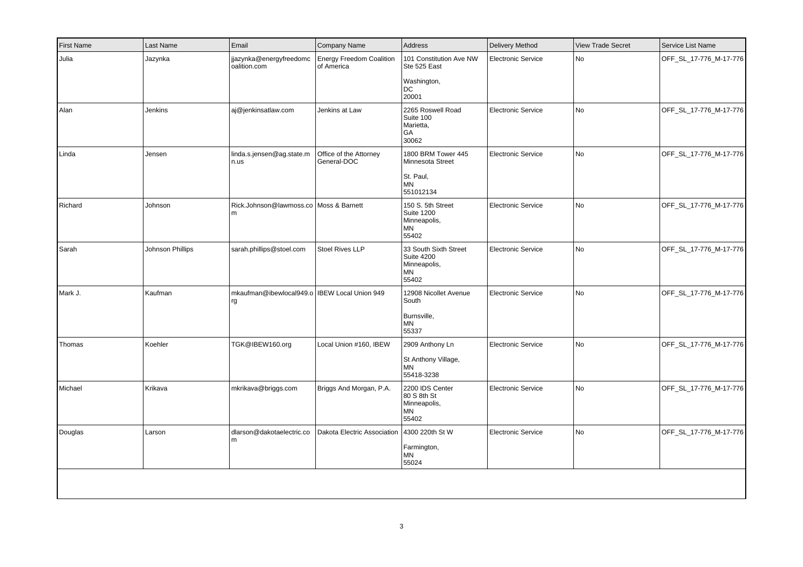| <b>First Name</b> | Last Name        | Email                                                | Company Name                                  | Address                                                                       | Delivery Method           | <b>View Trade Secret</b> | Service List Name      |
|-------------------|------------------|------------------------------------------------------|-----------------------------------------------|-------------------------------------------------------------------------------|---------------------------|--------------------------|------------------------|
| Julia             | Jazynka          | jjazynka@energyfreedomc<br>oalition.com              | <b>Energy Freedom Coalition</b><br>of America | 101 Constitution Ave NW<br>Ste 525 East                                       | <b>Electronic Service</b> | <b>No</b>                | OFF SL 17-776 M-17-776 |
|                   |                  |                                                      |                                               | Washington,<br>DC<br>20001                                                    |                           |                          |                        |
| Alan              | Jenkins          | aj@jenkinsatlaw.com                                  | Jenkins at Law                                | 2265 Roswell Road<br>Suite 100<br>Marietta,<br>GA<br>30062                    | <b>Electronic Service</b> | No                       | OFF_SL_17-776_M-17-776 |
| Linda             | Jensen           | linda.s.jensen@ag.state.m<br>n.us                    | Office of the Attorney<br>General-DOC         | 1800 BRM Tower 445<br>Minnesota Street<br>St. Paul,<br><b>MN</b><br>551012134 | <b>Electronic Service</b> | No                       | OFF_SL_17-776_M-17-776 |
| Richard           | Johnson          | Rick.Johnson@lawmoss.co Moss & Barnett<br>l m        |                                               | 150 S. 5th Street<br><b>Suite 1200</b><br>Minneapolis,<br>MN<br>55402         | <b>Electronic Service</b> | No                       | OFF_SL_17-776_M-17-776 |
| Sarah             | Johnson Phillips | sarah.phillips@stoel.com                             | <b>Stoel Rives LLP</b>                        | 33 South Sixth Street<br><b>Suite 4200</b><br>Minneapolis,<br>MN<br>55402     | <b>Electronic Service</b> | No                       | OFF_SL_17-776_M-17-776 |
| Mark J.           | Kaufman          | mkaufman@ibewlocal949.o   IBEW Local Union 949<br>rg |                                               | 12908 Nicollet Avenue<br>South<br>Burnsville,<br><b>MN</b><br>55337           | <b>Electronic Service</b> | No                       | OFF_SL_17-776_M-17-776 |
| Thomas            | Koehler          | TGK@IBEW160.org                                      | Local Union #160, IBEW                        | 2909 Anthony Ln<br>St Anthony Village,<br><b>MN</b><br>55418-3238             | <b>Electronic Service</b> | <b>No</b>                | OFF_SL_17-776_M-17-776 |
| Michael           | Krikava          | mkrikava@briggs.com                                  | Briggs And Morgan, P.A.                       | 2200 IDS Center<br>80 S 8th St<br>Minneapolis,<br><b>MN</b><br>55402          | <b>Electronic Service</b> | No                       | OFF_SL_17-776_M-17-776 |
| Douglas           | Larson           | dlarson@dakotaelectric.co<br>m                       | Dakota Electric Association   4300 220th St W | Farmington,<br><b>MN</b><br>55024                                             | <b>Electronic Service</b> | No                       | OFF_SL_17-776_M-17-776 |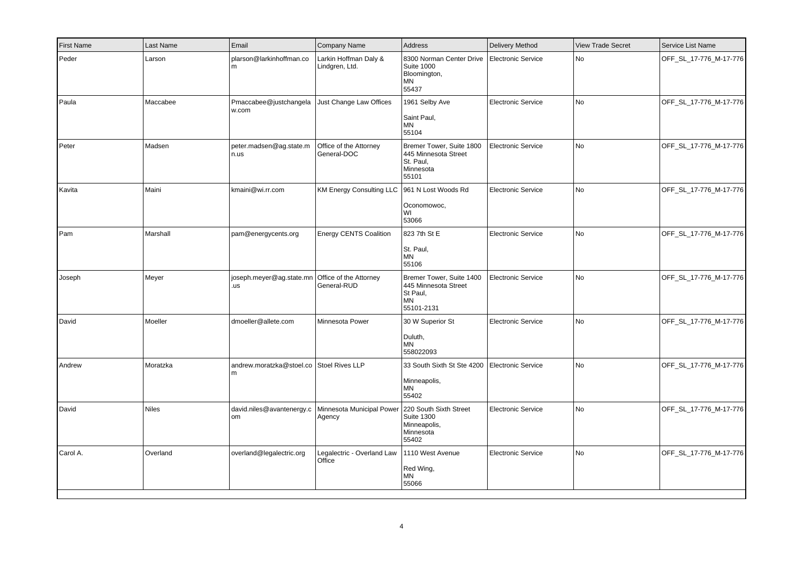| <b>First Name</b> | Last Name    | Email                                         | Company Name                                                                             | Address                                                                                 | <b>Delivery Method</b>    | <b>View Trade Secret</b> | Service List Name      |
|-------------------|--------------|-----------------------------------------------|------------------------------------------------------------------------------------------|-----------------------------------------------------------------------------------------|---------------------------|--------------------------|------------------------|
| Peder             | Larson       | plarson@larkinhoffman.co<br>m                 | Larkin Hoffman Daly &<br>Lindgren, Ltd.                                                  | 8300 Norman Center Drive<br><b>Suite 1000</b><br>Bloomington,<br><b>MN</b><br>55437     | Electronic Service        | <b>No</b>                | OFF_SL_17-776_M-17-776 |
| Paula             | Maccabee     | Pmaccabee@justchangela<br>w.com               | Just Change Law Offices                                                                  | 1961 Selby Ave<br>Saint Paul,<br><b>MN</b><br>55104                                     | <b>Electronic Service</b> | No                       | OFF_SL_17-776_M-17-776 |
| Peter             | Madsen       | peter.madsen@ag.state.m<br>n.us               | Office of the Attorney<br>General-DOC                                                    | Bremer Tower, Suite 1800<br>445 Minnesota Street<br>St. Paul,<br>Minnesota<br>55101     | <b>Electronic Service</b> | <b>No</b>                | OFF_SL_17-776_M-17-776 |
| Kavita            | Maini        | kmaini@wi.rr.com                              | KM Energy Consulting LLC   961 N Lost Woods Rd                                           | Oconomowoc,<br>WI<br>53066                                                              | <b>Electronic Service</b> | No                       | OFF_SL_17-776_M-17-776 |
| Pam               | Marshall     | pam@energycents.org                           | <b>Energy CENTS Coalition</b>                                                            | 823 7th St E<br>St. Paul,<br>ΜN<br>55106                                                | <b>Electronic Service</b> | <b>No</b>                | OFF_SL_17-776_M-17-776 |
| Joseph            | Meyer        | joseph.meyer@ag.state.mn<br>.us               | Office of the Attorney<br>General-RUD                                                    | Bremer Tower, Suite 1400<br>445 Minnesota Street<br>St Paul,<br><b>MN</b><br>55101-2131 | <b>Electronic Service</b> | No                       | OFF_SL_17-776_M-17-776 |
| David             | Moeller      | dmoeller@allete.com                           | Minnesota Power                                                                          | 30 W Superior St<br>Duluth,<br><b>MN</b><br>558022093                                   | <b>Electronic Service</b> | No                       | OFF_SL_17-776_M-17-776 |
| Andrew            | Moratzka     | andrew.moratzka@stoel.co Stoel Rives LLP<br>m |                                                                                          | 33 South Sixth St Ste 4200<br>Minneapolis,<br><b>MN</b><br>55402                        | <b>Electronic Service</b> | No                       | OFF_SL_17-776_M-17-776 |
| David             | <b>Niles</b> | om                                            | david.niles@avantenergy.c   Minnesota Municipal Power   220 South Sixth Street<br>Agency | <b>Suite 1300</b><br>Minneapolis,<br>Minnesota<br>55402                                 | <b>Electronic Service</b> | No                       | OFF_SL_17-776_M-17-776 |
| Carol A.          | Overland     | overland@legalectric.org                      | Legalectric - Overland Law<br>Office                                                     | 1110 West Avenue<br>Red Wing,<br><b>MN</b><br>55066                                     | <b>Electronic Service</b> | No                       | OFF_SL_17-776_M-17-776 |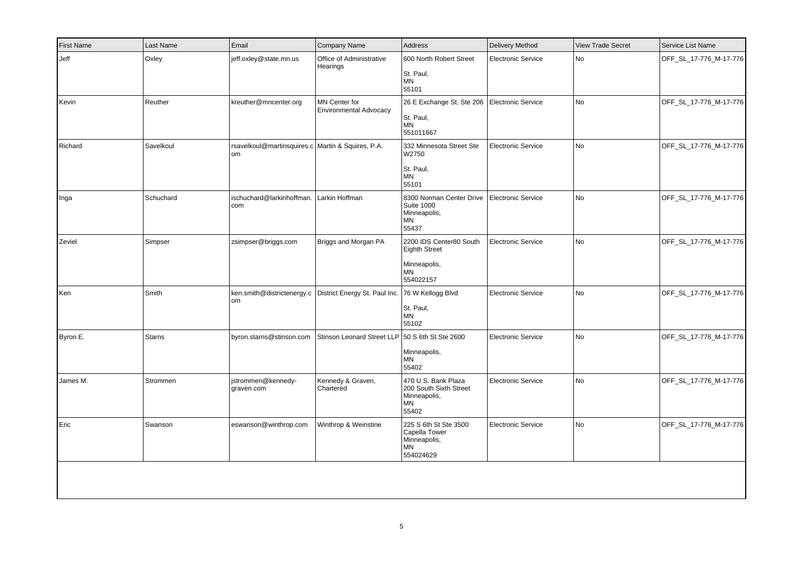| <b>First Name</b> | Last Name     | Email                                                   | Company Name                                    | Address                                                                             | Delivery Method           | <b>View Trade Secret</b> | Service List Name      |
|-------------------|---------------|---------------------------------------------------------|-------------------------------------------------|-------------------------------------------------------------------------------------|---------------------------|--------------------------|------------------------|
| Jeff              | Oxley         | jeff.oxley@state.mn.us                                  | Office of Administrative<br>Hearings            | 600 North Robert Street<br>St. Paul,<br><b>MN</b><br>55101                          | Electronic Service        | No                       | OFF_SL_17-776_M-17-776 |
| Kevin             | Reuther       | kreuther@mncenter.org                                   | MN Center for<br><b>Environmental Advocacy</b>  | 26 E Exchange St, Ste 206<br>St. Paul,<br><b>MN</b><br>551011667                    | <b>Electronic Service</b> | No                       | OFF_SL_17-776_M-17-776 |
| Richard           | Savelkoul     | rsavelkoul@martinsquires.c Martin & Squires, P.A.<br>om |                                                 | 332 Minnesota Street Ste<br>W2750<br>St. Paul,<br>MN<br>55101                       | <b>Electronic Service</b> | No                       | OFF_SL_17-776_M-17-776 |
| Inga              | Schuchard     | ischuchard@larkinhoffman.<br>com                        | Larkin Hoffman                                  | 8300 Norman Center Drive<br><b>Suite 1000</b><br>Minneapolis,<br><b>MN</b><br>55437 | <b>Electronic Service</b> | No                       | OFF_SL_17-776_M-17-776 |
| Zeviel            | Simpser       | zsimpser@briggs.com                                     | Briggs and Morgan PA                            | 2200 IDS Center80 South<br><b>Eighth Street</b><br>Minneapolis,<br>MN<br>554022157  | <b>Electronic Service</b> | No                       | OFF_SL_17-776_M-17-776 |
| Ken               | Smith         | ken.smith@districtenergy.c<br><b>om</b>                 | District Energy St. Paul Inc. 76 W Kellogg Blvd | St. Paul,<br><b>MN</b><br>55102                                                     | <b>Electronic Service</b> | No                       | OFF_SL_17-776_M-17-776 |
| Byron E.          | <b>Starns</b> | byron.starns@stinson.com                                | Stinson Leonard Street LLP 50 S 6th St Ste 2600 | Minneapolis,<br><b>MN</b><br>55402                                                  | <b>Electronic Service</b> | No                       | OFF_SL_17-776_M-17-776 |
| James M.          | Strommen      | jstrommen@kennedy-<br>graven.com                        | Kennedy & Graven,<br>Chartered                  | 470 U.S. Bank Plaza<br>200 South Sixth Street<br>Minneapolis,<br>MN<br>55402        | <b>Electronic Service</b> | No                       | OFF_SL_17-776_M-17-776 |
| Eric              | Swanson       | eswanson@winthrop.com                                   | Winthrop & Weinstine                            | 225 S 6th St Ste 3500<br>Capella Tower<br>Minneapolis,<br>MN<br>554024629           | <b>Electronic Service</b> | No                       | OFF_SL_17-776_M-17-776 |
|                   |               |                                                         |                                                 |                                                                                     |                           |                          |                        |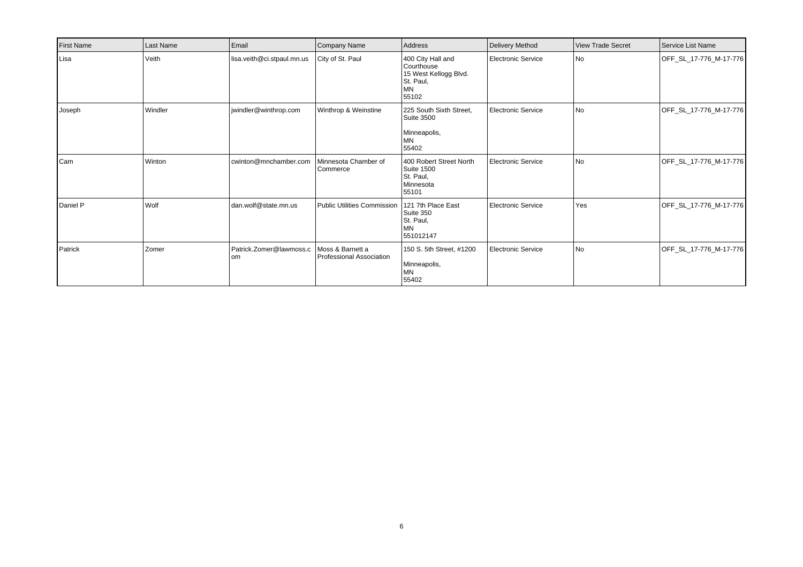| <b>First Name</b> | Last Name | Email                           | Company Name                                 | Address                                                                                     | Delivery Method           | <b>View Trade Secret</b> | l Service List Name    |
|-------------------|-----------|---------------------------------|----------------------------------------------|---------------------------------------------------------------------------------------------|---------------------------|--------------------------|------------------------|
| Lisa              | Veith     | lisa.veith@ci.stpaul.mn.us      | City of St. Paul                             | 400 City Hall and<br>Courthouse<br>15 West Kellogg Blvd.<br>St. Paul,<br><b>MN</b><br>55102 | Electronic Service        | l No                     | OFF_SL_17-776_M-17-776 |
| Joseph            | Windler   | jwindler@winthrop.com           | Winthrop & Weinstine                         | 225 South Sixth Street,<br><b>Suite 3500</b><br>Minneapolis,<br>MN<br>55402                 | Electronic Service        | l No                     | OFF_SL_17-776_M-17-776 |
| Cam               | Winton    | cwinton@mnchamber.com           | Minnesota Chamber of<br>Commerce             | 400 Robert Street North<br><b>Suite 1500</b><br>St. Paul,<br>Minnesota<br>55101             | Electronic Service        | l No                     | OFF_SL_17-776_M-17-776 |
| Daniel P          | Wolf      | dan.wolf@state.mn.us            | Public Utilities Commission                  | 121 7th Place East<br>Suite 350<br>St. Paul,<br><b>MN</b><br>551012147                      | <b>Electronic Service</b> | Yes                      | OFF_SL_17-776_M-17-776 |
| Patrick           | Zomer     | Patrick.Zomer@lawmoss.c<br>l om | Moss & Barnett a<br>Professional Association | 150 S. 5th Street, #1200<br>Minneapolis,<br><b>MN</b><br>55402                              | Electronic Service        | l No                     | OFF_SL_17-776_M-17-776 |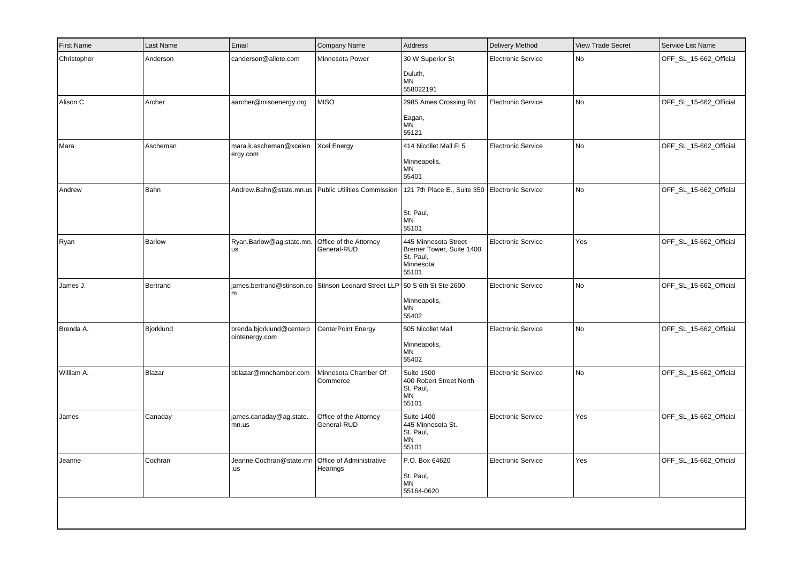| First Name  | Last Name | Email                                                 | Company Name                                         | Address                                                                             | Delivery Method           | <b>View Trade Secret</b> | Service List Name      |
|-------------|-----------|-------------------------------------------------------|------------------------------------------------------|-------------------------------------------------------------------------------------|---------------------------|--------------------------|------------------------|
| Christopher | Anderson  | canderson@allete.com                                  | Minnesota Power                                      | 30 W Superior St<br>Duluth,<br><b>MN</b><br>558022191                               | <b>Electronic Service</b> | No                       | OFF_SL_15-662_Official |
| Alison C    | Archer    | aarcher@misoenergy.org                                | <b>MISO</b>                                          | 2985 Ames Crossing Rd<br>Eagan,<br><b>MN</b><br>55121                               | <b>Electronic Service</b> | No                       | OFF_SL_15-662_Official |
| Mara        | Ascheman  | mara.k.ascheman@xcelen<br>ergy.com                    | <b>Xcel Energy</b>                                   | 414 Nicollet Mall FI 5<br>Minneapolis,<br><b>MN</b><br>55401                        | <b>Electronic Service</b> | No                       | OFF_SL_15-662_Official |
| Andrew      | Bahn      | Andrew.Bahn@state.mn.us   Public Utilities Commission |                                                      | 121 7th Place E., Suite 350<br>St. Paul,<br><b>MN</b><br>55101                      | Electronic Service        | No                       | OFF_SL_15-662_Official |
| Ryan        | Barlow    | Ryan.Barlow@ag.state.mn.<br> us                       | Office of the Attorney<br>General-RUD                | 445 Minnesota Street<br>Bremer Tower, Suite 1400<br>St. Paul,<br>Minnesota<br>55101 | <b>Electronic Service</b> | Yes                      | OFF_SL_15-662_Official |
| James J.    | Bertrand  | m                                                     | james.bertrand@stinson.co Stinson Leonard Street LLP | 50 S 6th St Ste 2600<br>Minneapolis,<br>MN<br>55402                                 | <b>Electronic Service</b> | No                       | OFF_SL_15-662_Official |
| Brenda A.   | Bjorklund | brenda.bjorklund@centerp<br>ointenergy.com            | CenterPoint Energy                                   | 505 Nicollet Mall<br>Minneapolis,<br><b>MN</b><br>55402                             | <b>Electronic Service</b> | No                       | OFF_SL_15-662_Official |
| William A.  | Blazar    | bblazar@mnchamber.com                                 | Minnesota Chamber Of<br>Commerce                     | <b>Suite 1500</b><br>400 Robert Street North<br>St. Paul,<br>MN<br>55101            | <b>Electronic Service</b> | No                       | OFF_SL_15-662_Official |
| James       | Canaday   | james.canaday@ag.state.<br>mn.us                      | Office of the Attorney<br>General-RUD                | <b>Suite 1400</b><br>445 Minnesota St.<br>St. Paul,<br>ΜN<br>55101                  | <b>Electronic Service</b> | Yes                      | OFF_SL_15-662_Official |
| Jeanne      | Cochran   | Jeanne.Cochran@state.mn<br>.us                        | Office of Administrative<br>Hearings                 | P.O. Box 64620<br>St. Paul,<br><b>MN</b><br>55164-0620                              | <b>Electronic Service</b> | Yes                      | OFF_SL_15-662_Official |
|             |           |                                                       |                                                      |                                                                                     |                           |                          |                        |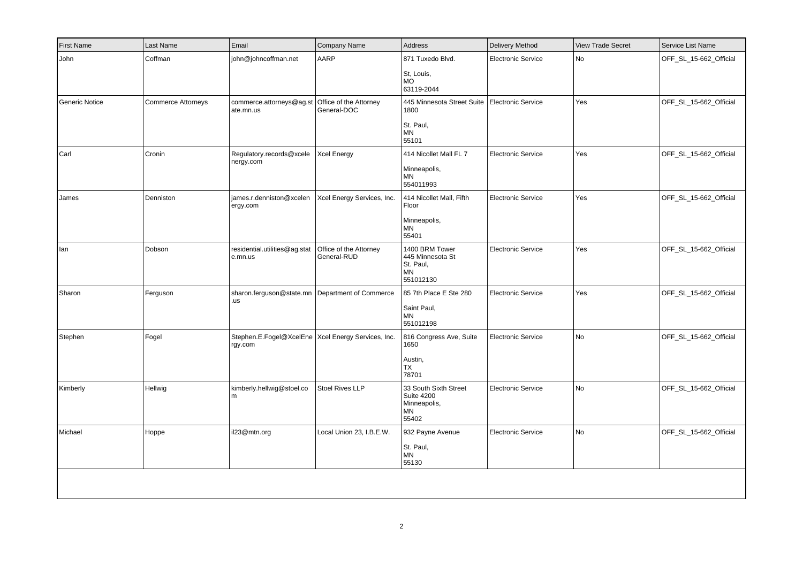| <b>First Name</b> | Last Name                 | Email                                                           | Company Name                          | Address                                                                             | <b>Delivery Method</b>    | <b>View Trade Secret</b> | Service List Name      |
|-------------------|---------------------------|-----------------------------------------------------------------|---------------------------------------|-------------------------------------------------------------------------------------|---------------------------|--------------------------|------------------------|
| John              | Coffman                   | john@johncoffman.net                                            | AARP                                  | 871 Tuxedo Blvd.<br>St, Louis,<br><b>MO</b><br>63119-2044                           | <b>Electronic Service</b> | No                       | OFF_SL_15-662_Official |
| Generic Notice    | <b>Commerce Attorneys</b> | commerce.attorneys@ag.st<br>ate.mn.us                           | Office of the Attorney<br>General-DOC | 445 Minnesota Street Suite   Electronic Service<br>1800<br>St. Paul,<br>MN<br>55101 |                           | Yes                      | OFF_SL_15-662_Official |
| Carl              | Cronin                    | Regulatory.records@xcele<br>nergy.com                           | <b>Xcel Energy</b>                    | 414 Nicollet Mall FL 7<br>Minneapolis,<br><b>MN</b><br>554011993                    | <b>Electronic Service</b> | Yes                      | OFF_SL_15-662_Official |
| James             | Denniston                 | james.r.denniston@xcelen<br>ergy.com                            | Xcel Energy Services, Inc.            | 414 Nicollet Mall, Fifth<br>Floor<br>Minneapolis,<br>ΜN<br>55401                    | <b>Electronic Service</b> | Yes                      | OFF_SL_15-662_Official |
| lan               | Dobson                    | residential.utilities@ag.stat<br>e.mn.us                        | Office of the Attorney<br>General-RUD | 1400 BRM Tower<br>445 Minnesota St<br>St. Paul,<br>ΜN<br>551012130                  | <b>Electronic Service</b> | Yes                      | OFF_SL_15-662_Official |
| Sharon            | Ferguson                  | sharon.ferguson@state.mn<br>.us                                 | Department of Commerce                | 85 7th Place E Ste 280<br>Saint Paul,<br>MN<br>551012198                            | <b>Electronic Service</b> | Yes                      | OFF_SL_15-662_Official |
| Stephen           | Fogel                     | Stephen.E.Fogel@XcelEne   Xcel Energy Services, Inc.<br>rgy.com |                                       | 816 Congress Ave, Suite<br>1650<br>Austin,<br>TX<br>78701                           | <b>Electronic Service</b> | No                       | OFF_SL_15-662_Official |
| Kimberly          | Hellwig                   | kimberly.hellwig@stoel.co<br>l m                                | Stoel Rives LLP                       | 33 South Sixth Street<br><b>Suite 4200</b><br>Minneapolis,<br>ΜN<br>55402           | <b>Electronic Service</b> | No                       | OFF_SL_15-662_Official |
| Michael           | Hoppe                     | il23@mtn.org                                                    | Local Union 23, I.B.E.W.              | 932 Payne Avenue<br>St. Paul,<br>MN<br>55130                                        | <b>Electronic Service</b> | No                       | OFF_SL_15-662_Official |
|                   |                           |                                                                 |                                       |                                                                                     |                           |                          |                        |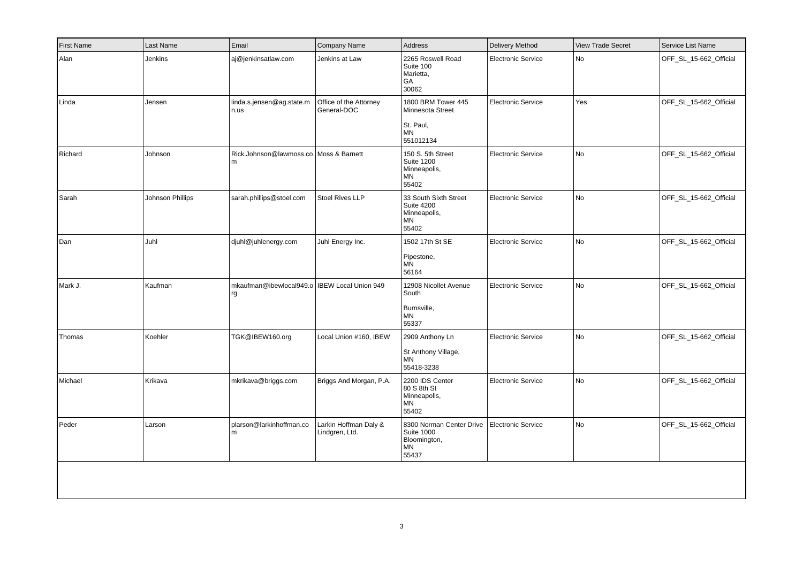| First Name | Last Name        | Email                                                | Company Name                            | Address                                                                       | <b>Delivery Method</b>    | <b>View Trade Secret</b> | Service List Name      |
|------------|------------------|------------------------------------------------------|-----------------------------------------|-------------------------------------------------------------------------------|---------------------------|--------------------------|------------------------|
| Alan       | Jenkins          | aj@jenkinsatlaw.com                                  | Jenkins at Law                          | 2265 Roswell Road<br>Suite 100<br>Marietta,<br>GA<br>30062                    | <b>Electronic Service</b> | No                       | OFF_SL_15-662_Official |
| Linda      | Jensen           | linda.s.jensen@ag.state.m<br>n.us                    | Office of the Attorney<br>General-DOC   | 1800 BRM Tower 445<br>Minnesota Street<br>St. Paul,<br><b>MN</b><br>551012134 | <b>Electronic Service</b> | Yes                      | OFF_SL_15-662_Official |
| Richard    | Johnson          | Rick.Johnson@lawmoss.co   Moss & Barnett<br>m        |                                         | 150 S. 5th Street<br><b>Suite 1200</b><br>Minneapolis,<br>MN<br>55402         | Electronic Service        | No                       | OFF_SL_15-662_Official |
| Sarah      | Johnson Phillips | sarah.phillips@stoel.com                             | Stoel Rives LLP                         | 33 South Sixth Street<br><b>Suite 4200</b><br>Minneapolis,<br>ΜN<br>55402     | <b>Electronic Service</b> | No                       | OFF SL 15-662 Official |
| Dan        | Juhl             | djuhl@juhlenergy.com                                 | Juhl Energy Inc.                        | 1502 17th St SE<br>Pipestone,<br>MN<br>56164                                  | <b>Electronic Service</b> | No                       | OFF_SL_15-662_Official |
| Mark J.    | Kaufman          | mkaufman@ibewlocal949.o   IBEW Local Union 949<br>rg |                                         | 12908 Nicollet Avenue<br>South<br>Burnsville,<br>MN<br>55337                  | <b>Electronic Service</b> | No                       | OFF_SL_15-662_Official |
| Thomas     | Koehler          | TGK@IBEW160.org                                      | Local Union #160, IBEW                  | 2909 Anthony Ln<br>St Anthony Village,<br>MN<br>55418-3238                    | <b>Electronic Service</b> | No                       | OFF_SL_15-662_Official |
| Michael    | Krikava          | mkrikava@briggs.com                                  | Briggs And Morgan, P.A.                 | 2200 IDS Center<br>80 S 8th St<br>Minneapolis,<br>ΜN<br>55402                 | <b>Electronic Service</b> | No                       | OFF_SL_15-662_Official |
| Peder      | Larson           | plarson@larkinhoffman.co<br>m                        | Larkin Hoffman Daly &<br>Lindgren, Ltd. | 8300 Norman Center Drive<br><b>Suite 1000</b><br>Bloomington,<br>MN<br>55437  | Electronic Service        | No                       | OFF_SL_15-662_Official |
|            |                  |                                                      |                                         |                                                                               |                           |                          |                        |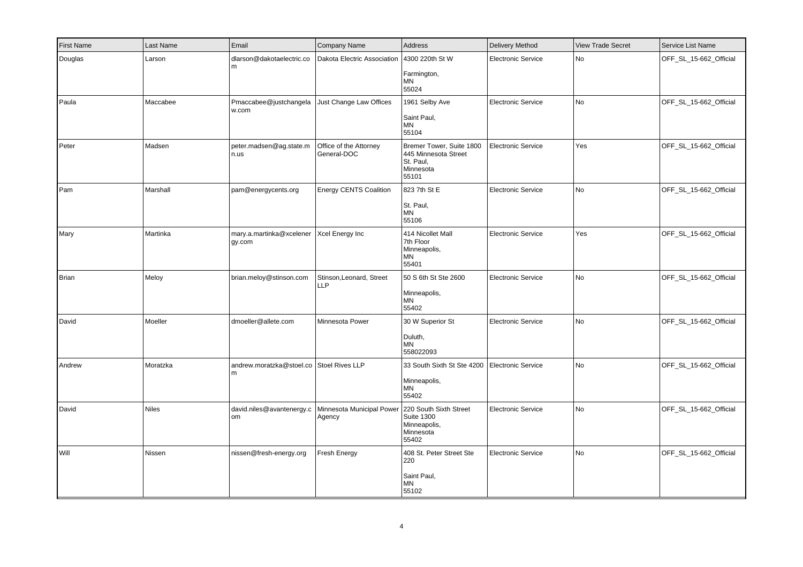| <b>First Name</b> | Last Name    | Email                              | Company Name                                               | Address                                                                             | Delivery Method           | <b>View Trade Secret</b> | Service List Name      |
|-------------------|--------------|------------------------------------|------------------------------------------------------------|-------------------------------------------------------------------------------------|---------------------------|--------------------------|------------------------|
| Douglas           | Larson       | dlarson@dakotaelectric.co<br>m     | Dakota Electric Association   4300 220th St W              | Farmington,<br><b>MN</b><br>55024                                                   | <b>Electronic Service</b> | No                       | OFF_SL_15-662_Official |
| Paula             | Maccabee     | Pmaccabee@justchangela<br>w.com    | Just Change Law Offices                                    | 1961 Selby Ave<br>Saint Paul,<br>MN<br>55104                                        | <b>Electronic Service</b> | No                       | OFF_SL_15-662_Official |
| Peter             | Madsen       | peter.madsen@ag.state.m<br>n.us    | Office of the Attorney<br>General-DOC                      | Bremer Tower, Suite 1800<br>445 Minnesota Street<br>St. Paul,<br>Minnesota<br>55101 | Electronic Service        | Yes                      | OFF SL 15-662 Official |
| Pam               | Marshall     | pam@energycents.org                | <b>Energy CENTS Coalition</b>                              | 823 7th St E<br>St. Paul,<br>MN<br>55106                                            | <b>Electronic Service</b> | <b>No</b>                | OFF_SL_15-662_Official |
| Mary              | Martinka     | mary.a.martinka@xcelener<br>gy.com | Xcel Energy Inc                                            | 414 Nicollet Mall<br>7th Floor<br>Minneapolis,<br>MN<br>55401                       | <b>Electronic Service</b> | Yes                      | OFF_SL_15-662_Official |
| Brian             | Meloy        | brian.meloy@stinson.com            | Stinson, Leonard, Street<br>LLP                            | 50 S 6th St Ste 2600<br>Minneapolis,<br><b>MN</b><br>55402                          | <b>Electronic Service</b> | No                       | OFF_SL_15-662_Official |
| David             | Moeller      | dmoeller@allete.com                | Minnesota Power                                            | 30 W Superior St<br>Duluth,<br><b>MN</b><br>558022093                               | <b>Electronic Service</b> | No                       | OFF_SL_15-662_Official |
| Andrew            | Moratzka     | andrew.moratzka@stoel.co<br>l m    | Stoel Rives LLP                                            | 33 South Sixth St Ste 4200<br>Minneapolis,<br><b>MN</b><br>55402                    | <b>Electronic Service</b> | N <sub>o</sub>           | OFF_SL_15-662_Official |
| David             | <b>Niles</b> | david.niles@avantenergy.c<br>om    | Minnesota Municipal Power 220 South Sixth Street<br>Agency | <b>Suite 1300</b><br>Minneapolis,<br>Minnesota<br>55402                             | <b>Electronic Service</b> | No                       | OFF_SL_15-662_Official |
| Will              | Nissen       | nissen@fresh-energy.org            | Fresh Energy                                               | 408 St. Peter Street Ste<br>220<br>Saint Paul,<br><b>MN</b><br>55102                | Electronic Service        | No                       | OFF_SL_15-662_Official |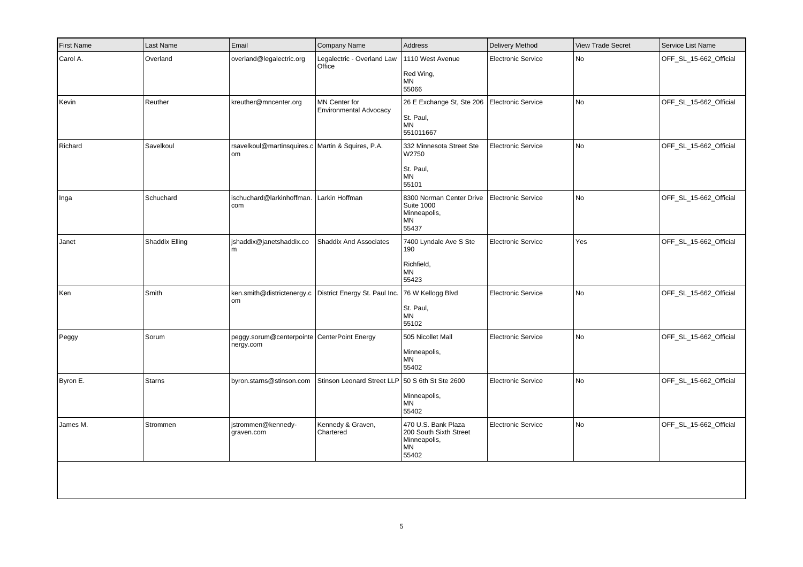| <b>First Name</b> | Last Name      | Email                                                    | Company Name                                   | Address                                                                      | <b>Delivery Method</b>    | <b>View Trade Secret</b> | Service List Name      |
|-------------------|----------------|----------------------------------------------------------|------------------------------------------------|------------------------------------------------------------------------------|---------------------------|--------------------------|------------------------|
| Carol A.          | Overland       | overland@legalectric.org                                 | Legalectric - Overland Law<br>Office           | 1110 West Avenue<br>Red Wing,<br><b>MN</b><br>55066                          | <b>Electronic Service</b> | No                       | OFF_SL_15-662_Official |
| Kevin             | Reuther        | kreuther@mncenter.org                                    | MN Center for<br><b>Environmental Advocacy</b> | 26 E Exchange St, Ste 206<br>St. Paul,<br>MN<br>551011667                    | <b>Electronic Service</b> | No                       | OFF_SL_15-662_Official |
| Richard           | Savelkoul      | rsavelkoul@martinsquires.c Martin & Squires, P.A.<br>om  |                                                | 332 Minnesota Street Ste<br>W2750<br>St. Paul,<br>MN<br>55101                | <b>Electronic Service</b> | No                       | OFF_SL_15-662_Official |
| Inga              | Schuchard      | ischuchard@larkinhoffman.<br>  com                       | Larkin Hoffman                                 | 8300 Norman Center Drive<br><b>Suite 1000</b><br>Minneapolis,<br>MN<br>55437 | <b>Electronic Service</b> | No                       | OFF_SL_15-662_Official |
| Janet             | Shaddix Elling | shaddix@janetshaddix.co<br>l m                           | <b>Shaddix And Associates</b>                  | 7400 Lyndale Ave S Ste<br>190<br>Richfield,<br>ΜN<br>55423                   | <b>Electronic Service</b> | Yes                      | OFF_SL_15-662_Official |
| Ken               | Smith          | ken.smith@districtenergy.c<br> om                        | District Energy St. Paul Inc.                  | 76 W Kellogg Blvd<br>St. Paul,<br>MN<br>55102                                | <b>Electronic Service</b> | No                       | OFF_SL_15-662_Official |
| Peggy             | Sorum          | peggy.sorum@centerpointe CenterPoint Energy<br>nergy.com |                                                | 505 Nicollet Mall<br>Minneapolis,<br>ΜN<br>55402                             | <b>Electronic Service</b> | No                       | OFF_SL_15-662_Official |
| Byron E.          | <b>Starns</b>  | byron.starns@stinson.com                                 | Stinson Leonard Street LLP                     | 50 S 6th St Ste 2600<br>Minneapolis,<br>MN<br>55402                          | <b>Electronic Service</b> | No                       | OFF_SL_15-662_Official |
| James M.          | Strommen       | istrommen@kennedy-<br>graven.com                         | Kennedy & Graven,<br>Chartered                 | 470 U.S. Bank Plaza<br>200 South Sixth Street<br>Minneapolis,<br>ΜN<br>55402 | <b>Electronic Service</b> | No                       | OFF_SL_15-662_Official |
|                   |                |                                                          |                                                |                                                                              |                           |                          |                        |